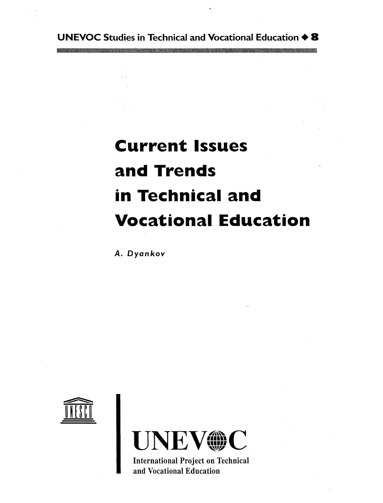### UNEVOC Studies in Technical and Vocational Education  $\triangle$  8

and the contract of the and the contract of the

 $\mathcal{L}^{\text{max}}_{\text{max}}$ 

 $\label{eq:2.1} \frac{1}{\sqrt{2\pi}}\sum_{i=1}^n\frac{1}{\sqrt{2\pi}}\sum_{i=1}^n\frac{1}{\sqrt{2\pi}}\sum_{i=1}^n\frac{1}{\sqrt{2\pi}}\sum_{i=1}^n\frac{1}{\sqrt{2\pi}}\sum_{i=1}^n\frac{1}{\sqrt{2\pi}}\sum_{i=1}^n\frac{1}{\sqrt{2\pi}}\sum_{i=1}^n\frac{1}{\sqrt{2\pi}}\sum_{i=1}^n\frac{1}{\sqrt{2\pi}}\sum_{i=1}^n\frac{1}{\sqrt{2\pi}}\sum_{i=1}^n\$  $\mathcal{L}(\mathcal{L}(\mathcal{L}))$  and the contract of  $\mathcal{L}(\mathcal{L})$  . The contract of  $\mathcal{L}(\mathcal{L})$  is the contract of  $\mathcal{L}(\mathcal{L})$  $\label{eq:2.1} \frac{1}{2} \sum_{i=1}^n \frac{1}{2} \sum_{j=1}^n \frac{1}{2} \sum_{j=1}^n \frac{1}{2} \sum_{j=1}^n \frac{1}{2} \sum_{j=1}^n \frac{1}{2} \sum_{j=1}^n \frac{1}{2} \sum_{j=1}^n \frac{1}{2} \sum_{j=1}^n \frac{1}{2} \sum_{j=1}^n \frac{1}{2} \sum_{j=1}^n \frac{1}{2} \sum_{j=1}^n \frac{1}{2} \sum_{j=1}^n \frac{1}{2} \sum_{j=1}^n \frac{$ 

and the second control of the second control of the second control of the second control of the second control of

the contract of the contract of the contract of

 $\mathcal{D}^{\mathcal{A}}$ 

## Current Issues

## and Trends

# in Technical and

# **Vocational Education**

A. Dyankov

 $\mathcal{L}(\mathcal{L}(\mathcal{L}(\mathcal{L}(\mathcal{L}(\mathcal{L}(\mathcal{L}(\mathcal{L}(\mathcal{L}(\mathcal{L}(\mathcal{L}(\mathcal{L}(\mathcal{L}(\mathcal{L}(\mathcal{L}(\mathcal{L}(\mathcal{L}(\mathcal{L}(\mathcal{L}(\mathcal{L}(\mathcal{L}(\mathcal{L}(\mathcal{L}(\mathcal{L}(\mathcal{L}(\mathcal{L}(\mathcal{L}(\mathcal{L}(\mathcal{L}(\mathcal{L}(\mathcal{L}(\mathcal{L}(\mathcal{L}(\mathcal{L}(\mathcal{L}(\mathcal{L}(\mathcal{$ 



 $\label{eq:2.1} \frac{1}{\sqrt{2}}\left(\frac{1}{\sqrt{2}}\right)^{2} \left(\frac{1}{\sqrt{2}}\right)^{2} \left(\frac{1}{\sqrt{2}}\right)^{2} \left(\frac{1}{\sqrt{2}}\right)^{2} \left(\frac{1}{\sqrt{2}}\right)^{2} \left(\frac{1}{\sqrt{2}}\right)^{2} \left(\frac{1}{\sqrt{2}}\right)^{2} \left(\frac{1}{\sqrt{2}}\right)^{2} \left(\frac{1}{\sqrt{2}}\right)^{2} \left(\frac{1}{\sqrt{2}}\right)^{2} \left(\frac{1}{\sqrt{2}}\right)^{2} \left(\$ 

 $\mathcal{O}(\mathcal{E}^{\mathcal{E}})$  .  $\mathcal{E}^{\mathcal{E}}$ 

 $\sim 10^{11}$  km  $^{-1}$ 



International Project on Technical and Vocational Education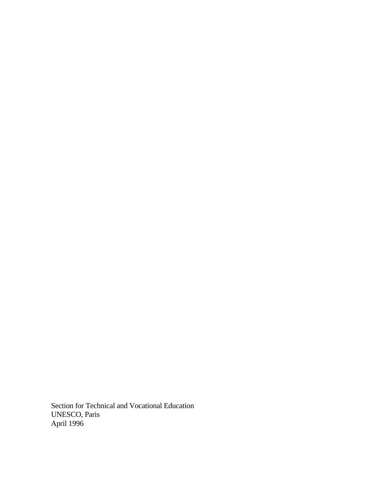Section for Technical and Vocational Education UNESCO, Paris April 1996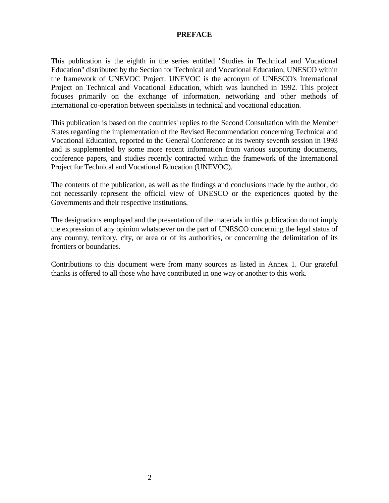### **PREFACE**

This publication is the eighth in the series entitled "Studies in Technical and Vocational Education" distributed by the Section for Technical and Vocational Education, UNESCO within the framework of UNEVOC Project. UNEVOC is the acronym of UNESCO's International Project on Technical and Vocational Education, which was launched in 1992. This project focuses primarily on the exchange of information, networking and other methods of international co-operation between specialists in technical and vocational education.

This publication is based on the countries' replies to the Second Consultation with the Member States regarding the implementation of the Revised Recommendation concerning Technical and Vocational Education, reported to the General Conference at its twenty seventh session in 1993 and is supplemented by some more recent information from various supporting documents, conference papers, and studies recently contracted within the framework of the International Project for Technical and Vocational Education (UNEVOC).

The contents of the publication, as well as the findings and conclusions made by the author, do not necessarily represent the official view of UNESCO or the experiences quoted by the Governments and their respective institutions.

The designations employed and the presentation of the materials in this publication do not imply the expression of any opinion whatsoever on the part of UNESCO concerning the legal status of any country, territory, city, or area or of its authorities, or concerning the delimitation of its frontiers or boundaries.

Contributions to this document were from many sources as listed in Annex 1. Our grateful thanks is offered to all those who have contributed in one way or another to this work.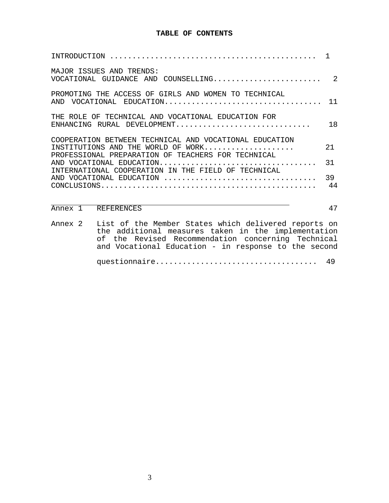### **TABLE OF CONTENTS**

| MAJOR ISSUES AND TRENDS:<br>VOCATIONAL GUIDANCE AND COUNSELLING                                                                                    | 2        |
|----------------------------------------------------------------------------------------------------------------------------------------------------|----------|
| PROMOTING THE ACCESS OF GIRLS AND WOMEN TO TECHNICAL<br>AND VOCATIONAL EDUCATION                                                                   | 11       |
| THE ROLE OF TECHNICAL AND VOCATIONAL EDUCATION FOR<br>ENHANCING RURAL DEVELOPMENT                                                                  | 18       |
| COOPERATION BETWEEN TECHNICAL AND VOCATIONAL EDUCATION<br>INSTITUTIONS AND THE WORLD OF WORK<br>PROFESSIONAL PREPARATION OF TEACHERS FOR TECHNICAL | 2.1      |
| AND VOCATIONAL EDUCATION<br>INTERNATIONAL COOPERATION IN THE FIELD OF TECHNICAL                                                                    | 31       |
| AND VOCATIONAL EDUCATION                                                                                                                           | 39<br>44 |
| Annex 1<br>REFERENCES                                                                                                                              | 47       |

|  | Annex 2 List of the Member States which delivered reports on<br>the additional measures taken in the implementation |
|--|---------------------------------------------------------------------------------------------------------------------|
|  | of the Revised Recommendation concerning Technical<br>and Vocational Education - in response to the second          |
|  |                                                                                                                     |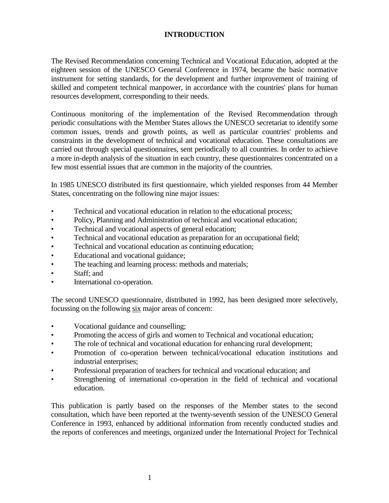### **INTRODUCTION**

The Revised Recommendation concerning Technical and Vocational Education, adopted at the eighteen session of the UNESCO General Conference in 1974, became the basic normative instrument for setting standards, for the development and further improvement of training of skilled and competent technical manpower, in accordance with the countries' plans for human resources development, corresponding to their needs.

Continuous monitoring of the implementation of the Revised Recommendation through periodic consultations with the Member States allows the UNESCO secretariat to identify some common issues, trends and growth points, as well as particular countries' problems and constraints in the development of technical and vocational education. These consultations are carried out through special questionnaires, sent periodically to all countries. In order to achieve a more in-depth analysis of the situation in each country, these questionnaires concentrated on a few most essential issues that are common in the majority of the countries.

In 1985 UNESCO distributed its first questionnaire, which yielded responses from 44 Member States, concentrating on the following nine major issues:

- Technical and vocational education in relation to the educational process;
- Policy, Planning and Administration of technical and vocational education;
- Technical and vocational aspects of general education;
- Technical and vocational education as preparation for an occupational field;
- Technical and vocational education as continuing education;
- Educational and vocational guidance;
- The teaching and learning process: methods and materials;
- Staff; and
- International co-operation.

The second UNESCO questionnaire, distributed in 1992, has been designed more selectively, focussing on the following six major areas of concern:

- Vocational guidance and counselling;
- Promoting the access of girls and women to Technical and vocational education;
- The role of technical and vocational education for enhancing rural development;
- Promotion of co-operation between technical/vocational education institutions and industrial enterprises;
- Professional preparation of teachers for technical and vocational education; and
- Strengthening of international co-operation in the field of technical and vocational education.

This publication is partly based on the responses of the Member states to the second consultation, which have been reported at the twenty-seventh session of the UNESCO General Conference in 1993, enhanced by additional information from recently conducted studies and the reports of conferences and meetings, organized under the International Project for Technical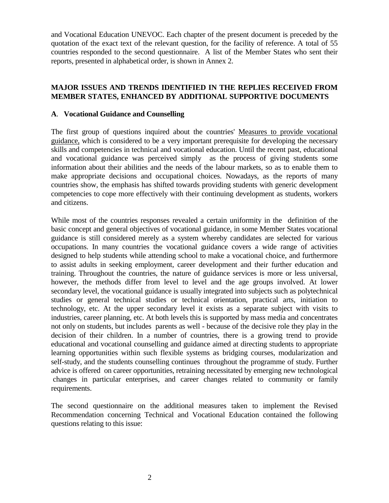and Vocational Education UNEVOC. Each chapter of the present document is preceded by the quotation of the exact text of the relevant question, for the facility of reference. A total of 55 countries responded to the second questionnaire. A list of the Member States who sent their reports, presented in alphabetical order, is shown in Annex 2.

### **MAJOR ISSUES AND TRENDS IDENTIFIED IN THE REPLIES RECEIVED FROM MEMBER STATES, ENHANCED BY ADDITIONAL SUPPORTIVE DOCUMENTS**

### **A**. **Vocational Guidance and Counselling**

The first group of questions inquired about the countries' Measures to provide vocational guidance, which is considered to be a very important prerequisite for developing the necessary skills and competencies in technical and vocational education. Until the recent past, educational and vocational guidance was perceived simply as the process of giving students some information about their abilities and the needs of the labour markets, so as to enable them to make appropriate decisions and occupational choices. Nowadays, as the reports of many countries show, the emphasis has shifted towards providing students with generic development competencies to cope more effectively with their continuing development as students, workers and citizens.

While most of the countries responses revealed a certain uniformity in the definition of the basic concept and general objectives of vocational guidance, in some Member States vocational guidance is still considered merely as a system whereby candidates are selected for various occupations. In many countries the vocational guidance covers a wide range of activities designed to help students while attending school to make a vocational choice, and furthermore to assist adults in seeking employment, career development and their further education and training. Throughout the countries, the nature of guidance services is more or less universal, however, the methods differ from level to level and the age groups involved. At lower secondary level, the vocational guidance is usually integrated into subjects such as polytechnical studies or general technical studies or technical orientation, practical arts, initiation to technology, etc. At the upper secondary level it exists as a separate subject with visits to industries, career planning, etc. At both levels this is supported by mass media and concentrates not only on students, but includes parents as well - because of the decisive role they play in the decision of their children. In a number of countries, there is a growing trend to provide educational and vocational counselling and guidance aimed at directing students to appropriate learning opportunities within such flexible systems as bridging courses, modularization and self-study, and the students counselling continues throughout the programme of study. Further advice is offered on career opportunities, retraining necessitated by emerging new technological changes in particular enterprises, and career changes related to community or family requirements.

The second questionnaire on the additional measures taken to implement the Revised Recommendation concerning Technical and Vocational Education contained the following questions relating to this issue: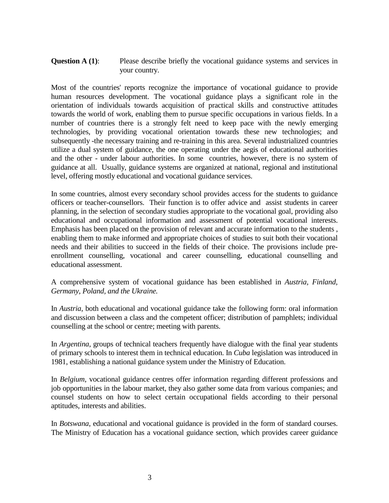### **Question A (1):** Please describe briefly the vocational guidance systems and services in your country.

Most of the countries' reports recognize the importance of vocational guidance to provide human resources development. The vocational guidance plays a significant role in the orientation of individuals towards acquisition of practical skills and constructive attitudes towards the world of work, enabling them to pursue specific occupations in various fields. In a number of countries there is a strongly felt need to keep pace with the newly emerging technologies, by providing vocational orientation towards these new technologies; and subsequently -the necessary training and re-training in this area. Several industrialized countries utilize a dual system of guidance, the one operating under the aegis of educational authorities and the other - under labour authorities. In some countries, however, there is no system of guidance at all. Usually, guidance systems are organized at national, regional and institutional level, offering mostly educational and vocational guidance services.

In some countries, almost every secondary school provides access for the students to guidance officers or teacher-counsellors. Their function is to offer advice and assist students in career planning, in the selection of secondary studies appropriate to the vocational goal, providing also educational and occupational information and assessment of potential vocational interests. Emphasis has been placed on the provision of relevant and accurate information to the students , enabling them to make informed and appropriate choices of studies to suit both their vocational needs and their abilities to succeed in the fields of their choice. The provisions include preenrollment counselling, vocational and career counselling, educational counselling and educational assessment.

### A comprehensive system of vocational guidance has been established in *Austria, Finland, Germany, Poland, and the Ukraine.*

In *Austria*, both educational and vocational guidance take the following form: oral information and discussion between a class and the competent officer; distribution of pamphlets; individual counselling at the school or centre; meeting with parents.

In *Argentina*, groups of technical teachers frequently have dialogue with the final year students of primary schools to interest them in technical education. In *Cuba* legislation was introduced in 1981, establishing a national guidance system under the Ministry of Education.

In *Belgium*, vocational guidance centres offer information regarding different professions and job opportunities in the labour market, they also gather some data from various companies; and counsel students on how to select certain occupational fields according to their personal aptitudes, interests and abilities.

In *Botswana*, educational and vocational guidance is provided in the form of standard courses. The Ministry of Education has a vocational guidance section, which provides career guidance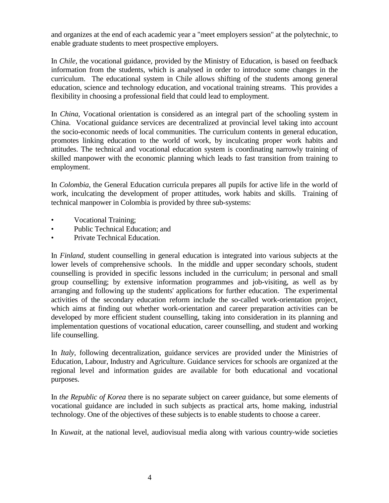and organizes at the end of each academic year a "meet employers session" at the polytechnic, to enable graduate students to meet prospective employers.

In *Chile*, the vocational guidance, provided by the Ministry of Education, is based on feedback information from the students, which is analysed in order to introduce some changes in the curriculum. The educational system in Chile allows shifting of the students among general education, science and technology education, and vocational training streams. This provides a flexibility in choosing a professional field that could lead to employment.

In *China*, Vocational orientation is considered as an integral part of the schooling system in China. Vocational guidance services are decentralized at provincial level taking into account the socio-economic needs of local communities. The curriculum contents in general education, promotes linking education to the world of work, by inculcating proper work habits and attitudes. The technical and vocational education system is coordinating narrowly training of skilled manpower with the economic planning which leads to fast transition from training to employment.

In *Colombia*, the General Education curricula prepares all pupils for active life in the world of work, inculcating the development of proper attitudes, work habits and skills. Training of technical manpower in Colombia is provided by three sub-systems:

- **Vocational Training**;
- Public Technical Education: and
- Private Technical Education.

In *Finland*, student counselling in general education is integrated into various subjects at the lower levels of comprehensive schools. In the middle and upper secondary schools, student counselling is provided in specific lessons included in the curriculum; in personal and small group counselling; by extensive information programmes and job-visiting, as well as by arranging and following up the students' applications for further education. The experimental activities of the secondary education reform include the so-called work-orientation project, which aims at finding out whether work-orientation and career preparation activities can be developed by more efficient student counselling, taking into consideration in its planning and implementation questions of vocational education, career counselling, and student and working life counselling.

In *Italy*, following decentralization, guidance services are provided under the Ministries of Education, Labour, Industry and Agriculture. Guidance services for schools are organized at the regional level and information guides are available for both educational and vocational purposes.

In *the Republic of Korea* there is no separate subject on career guidance, but some elements of vocational guidance are included in such subjects as practical arts, home making, industrial technology. One of the objectives of these subjects is to enable students to choose a career.

In *Kuwait*, at the national level, audiovisual media along with various country-wide societies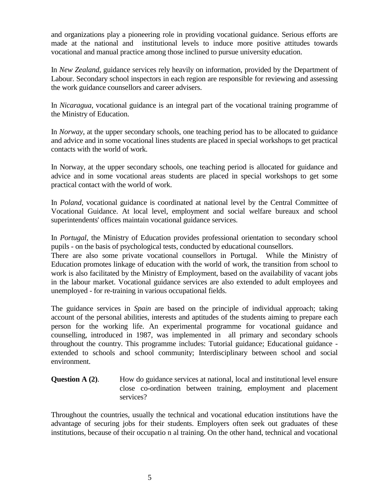and organizations play a pioneering role in providing vocational guidance. Serious efforts are made at the national and institutional levels to induce more positive attitudes towards vocational and manual practice among those inclined to pursue university education.

In *New Zealand*, guidance services rely heavily on information, provided by the Department of Labour. Secondary school inspectors in each region are responsible for reviewing and assessing the work guidance counsellors and career advisers.

In *Nicaragua*, vocational guidance is an integral part of the vocational training programme of the Ministry of Education.

In *Norway*, at the upper secondary schools, one teaching period has to be allocated to guidance and advice and in some vocational lines students are placed in special workshops to get practical contacts with the world of work.

In Norway, at the upper secondary schools, one teaching period is allocated for guidance and advice and in some vocational areas students are placed in special workshops to get some practical contact with the world of work.

In *Poland*, vocational guidance is coordinated at national level by the Central Committee of Vocational Guidance. At local level, employment and social welfare bureaux and school superintendents' offices maintain vocational guidance services.

In *Portugal*, the Ministry of Education provides professional orientation to secondary school pupils - on the basis of psychological tests, conducted by educational counsellors.

There are also some private vocational counsellors in Portugal. While the Ministry of Education promotes linkage of education with the world of work, the transition from school to work is also facilitated by the Ministry of Employment, based on the availability of vacant jobs in the labour market. Vocational guidance services are also extended to adult employees and unemployed - for re-training in various occupational fields.

The guidance services in *Spain* are based on the principle of individual approach; taking account of the personal abilities, interests and aptitudes of the students aiming to prepare each person for the working life. An experimental programme for vocational guidance and counselling, introduced in 1987, was implemented in all primary and secondary schools throughout the country. This programme includes: Tutorial guidance; Educational guidance extended to schools and school community; Interdisciplinary between school and social environment.

### **Question A (2).** How do guidance services at national, local and institutional level ensure close co-ordination between training, employment and placement services?

Throughout the countries, usually the technical and vocational education institutions have the advantage of securing jobs for their students. Employers often seek out graduates of these institutions, because of their occupatio n al training. On the other hand, technical and vocational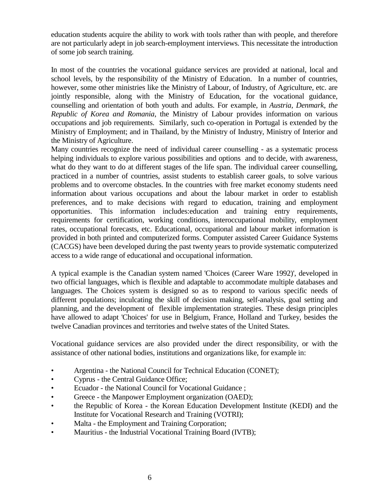education students acquire the ability to work with tools rather than with people, and therefore are not particularly adept in job search-employment interviews. This necessitate the introduction of some job search training.

In most of the countries the vocational guidance services are provided at national, local and school levels, by the responsibility of the Ministry of Education. In a number of countries, however, some other ministries like the Ministry of Labour, of Industry, of Agriculture, etc. are jointly responsible, along with the Ministry of Education, for the vocational guidance, counselling and orientation of both youth and adults. For example, in *Austria, Denmark, the Republic of Korea and Romania*, the Ministry of Labour provides information on various occupations and job requirements. Similarly, such co-operation in Portugal is extended by the Ministry of Employment; and in Thailand, by the Ministry of Industry, Ministry of Interior and the Ministry of Agriculture.

Many countries recognize the need of individual career counselling - as a systematic process helping individuals to explore various possibilities and options and to decide, with awareness, what do they want to do at different stages of the life span. The individual career counselling, practiced in a number of countries, assist students to establish career goals, to solve various problems and to overcome obstacles. In the countries with free market economy students need information about various occupations and about the labour market in order to establish preferences, and to make decisions with regard to education, training and employment opportunities. This information includes:education and training entry requirements, requirements for certification, working conditions, interoccupational mobility, employment rates, occupational forecasts, etc. Educational, occupational and labour market information is provided in both printed and computerized forms. Computer assisted Career Guidance Systems (CACGS) have been developed during the past twenty years to provide systematic computerized access to a wide range of educational and occupational information.

A typical example is the Canadian system named 'Choices (Career Ware 1992)', developed in two official languages, which is flexible and adaptable to accommodate multiple databases and languages. The Choices system is designed so as to respond to various specific needs of different populations; inculcating the skill of decision making, self-analysis, goal setting and planning, and the development of flexible implementation strategies. These design principles have allowed to adapt 'Choices' for use in Belgium, France, Holland and Turkey, besides the twelve Canadian provinces and territories and twelve states of the United States.

Vocational guidance services are also provided under the direct responsibility, or with the assistance of other national bodies, institutions and organizations like, for example in:

- Argentina the National Council for Technical Education (CONET);
- Cyprus the Central Guidance Office;
- Ecuador the National Council for Vocational Guidance ;
- Greece the Manpower Employment organization (OAED);
- the Republic of Korea the Korean Education Development Institute (KEDI) and the Institute for Vocational Research and Training (VOTRI);
- Malta the Employment and Training Corporation;
- Mauritius the Industrial Vocational Training Board (IVTB);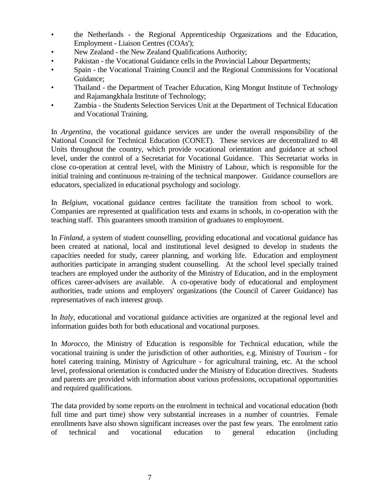- the Netherlands the Regional Apprenticeship Organizations and the Education, Employment - Liaison Centres (COAs');
- New Zealand the New Zealand Qualifications Authority;
- Pakistan the Vocational Guidance cells in the Provincial Labour Departments;
- Spain the Vocational Training Council and the Regional Commissions for Vocational Guidance;
- Thailand the Department of Teacher Education, King Mongut Institute of Technology and Rajamangkhala Institute of Technology;
- Zambia the Students Selection Services Unit at the Department of Technical Education and Vocational Training.

In *Argentina*, the vocational guidance services are under the overall responsibility of the National Council for Technical Education (CONET). These services are decentralized to 48 Units throughout the country, which provide vocational orientation and guidance at school level, under the control of a Secretariat for Vocational Guidance. This Secretariat works in close co-operation at central level, with the Ministry of Labour, which is responsible for the initial training and continuous re-training of the technical manpower. Guidance counsellors are educators, specialized in educational psychology and sociology.

In *Belgium*, vocational guidance centres facilitate the transition from school to work. Companies are represented at qualification tests and exams in schools, in co-operation with the teaching staff. This guarantees smooth transition of graduates to employment.

In *Finland*, a system of student counselling, providing educational and vocational guidance has been created at national, local and institutional level designed to develop in students the capacities needed for study, career planning, and working life. Education and employment authorities participate in arranging student counselling. At the school level specially trained teachers are employed under the authority of the Ministry of Education, and in the employment offices career-advisers are available. A co-operative body of educational and employment authorities, trade unions and employers' organizations (the Council of Career Guidance) has representatives of each interest group.

In *Italy*, educational and vocational guidance activities are organized at the regional level and information guides both for both educational and vocational purposes.

In *Morocco*, the Ministry of Education is responsible for Technical education, while the vocational training is under the jurisdiction of other authorities, e.g. Ministry of Tourism - for hotel catering training, Ministry of Agriculture - for agricultural training, etc. At the school level, professional orientation is conducted under the Ministry of Education directives. Students and parents are provided with information about various professions, occupational opportunities and required qualifications.

The data provided by some reports on the enrolment in technical and vocational education (both full time and part time) show very substantial increases in a number of countries. Female enrollments have also shown significant increases over the past few years. The enrolment ratio of technical and vocational education to general education (including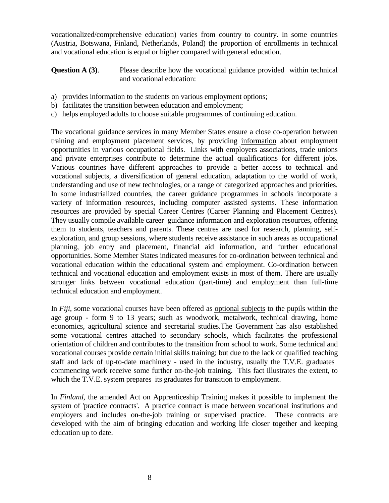vocationalized/comprehensive education) varies from country to country. In some countries (Austria, Botswana, Finland, Netherlands, Poland) the proportion of enrollments in technical and vocational education is equal or higher compared with general education.

**Question A (3).** Please describe how the vocational guidance provided within technical and vocational education:

- a) provides information to the students on various employment options;
- b) facilitates the transition between education and employment;
- c) helps employed adults to choose suitable programmes of continuing education.

The vocational guidance services in many Member States ensure a close co-operation between training and employment placement services, by providing information about employment opportunities in various occupational fields. Links with employers associations, trade unions and private enterprises contribute to determine the actual qualifications for different jobs. Various countries have different approaches to provide a better access to technical and vocational subjects, a diversification of general education, adaptation to the world of work, understanding and use of new technologies, or a range of categorized approaches and priorities. In some industrialized countries, the career guidance programmes in schools incorporate a variety of information resources, including computer assisted systems. These information resources are provided by special Career Centres (Career Planning and Placement Centres). They usually compile available career guidance information and exploration resources, offering them to students, teachers and parents. These centres are used for research, planning, selfexploration, and group sessions, where students receive assistance in such areas as occupational planning, job entry and placement, financial aid information, and further educational opportunities. Some Member States indicated measures for co-ordination between technical and vocational education within the educational system and employment. Co-ordination between technical and vocational education and employment exists in most of them. There are usually stronger links between vocational education (part-time) and employment than full-time technical education and employment.

In *Fiji*, some vocational courses have been offered as optional subjects to the pupils within the age group - form 9 to 13 years; such as woodwork, metalwork, technical drawing, home economics, agricultural science and secretarial studies.The Government has also established some vocational centres attached to secondary schools, which facilitates the professional orientation of children and contributes to the transition from school to work. Some technical and vocational courses provide certain initial skills training; but due to the lack of qualified teaching staff and lack of up-to-date machinery - used in the industry, usually the T.V.E. graduates commencing work receive some further on-the-job training. This fact illustrates the extent, to which the T.V.E. system prepares its graduates for transition to employment.

In *Finland*, the amended Act on Apprenticeship Training makes it possible to implement the system of 'practice contracts'. A practice contract is made between vocational institutions and employers and includes on-the-job training or supervised practice. These contracts are developed with the aim of bringing education and working life closer together and keeping education up to date.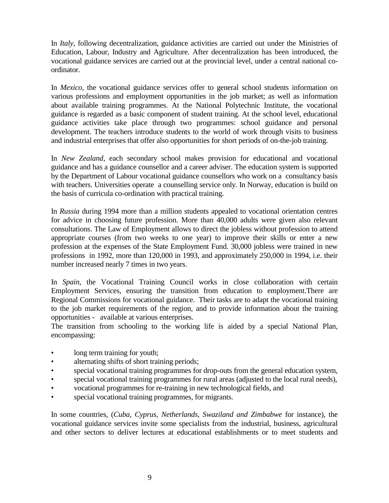In *Italy*, following decentralization, guidance activities are carried out under the Ministries of Education, Labour, Industry and Agriculture. After decentralization has been introduced, the vocational guidance services are carried out at the provincial level, under a central national coordinator.

In *Mexico*, the vocational guidance services offer to general school students information on various professions and employment opportunities in the job market; as well as information about available training programmes. At the National Polytechnic Institute, the vocational guidance is regarded as a basic component of student training. At the school level, educational guidance activities take place through two programmes: school guidance and personal development. The teachers introduce students to the world of work through visits to business and industrial enterprises that offer also opportunities for short periods of on-the-job training.

In *New Zealand*, each secondary school makes provision for educational and vocational guidance and has a guidance counsellor and a career adviser. The education system is supported by the Department of Labour vocational guidance counsellors who work on a consultancy basis with teachers. Universities operate a counselling service only. In Norway, education is build on the basis of curricula co-ordination with practical training.

In *Russia* during 1994 more than a million students appealed to vocational orientation centres for advice in choosing future profession. More than 40,000 adults were given also relevant consultations. The Law of Employment allows to direct the jobless without profession to attend appropriate courses (from two weeks to one year) to improve their skills or enter a new profession at the expenses of the State Employment Fund. 30,000 jobless were trained in new professions in 1992, more than 120,000 in 1993, and approximately 250,000 in 1994, i.e. their number increased nearly 7 times in two years.

In *Spain*, the Vocational Training Council works in close collaboration with certain Employment Services, ensuring the transition from education to employment.There are Regional Commissions for vocational guidance. Their tasks are to adapt the vocational training to the job market requirements of the region, and to provide information about the training opportunities - available at various enterprises.

The transition from schooling to the working life is aided by a special National Plan, encompassing:

- long term training for youth;
- alternating shifts of short training periods;
- special vocational training programmes for drop-outs from the general education system,
- special vocational training programmes for rural areas (adjusted to the local rural needs),
- vocational programmes for re-training in new technological fields, and
- special vocational training programmes, for migrants.

In some countries, (*Cuba, Cyprus, Netherlands, Swaziland and Zimbabwe* for instance), the vocational guidance services invite some specialists from the industrial, business, agricultural and other sectors to deliver lectures at educational establishments or to meet students and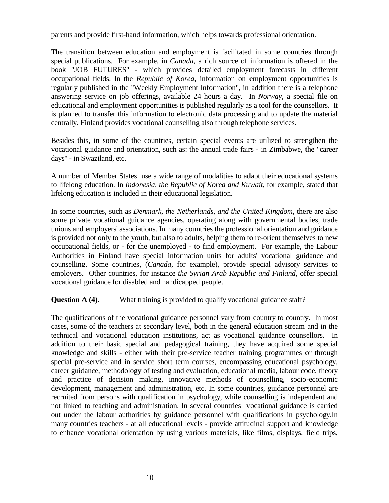parents and provide first-hand information, which helps towards professional orientation.

The transition between education and employment is facilitated in some countries through special publications. For example, in *Canada*, a rich source of information is offered in the book "JOB FUTURES" - which provides detailed employment forecasts in different occupational fields. In the *Republic of Korea*, information on employment opportunities is regularly published in the "Weekly Employment Information", in addition there is a telephone answering service on job offerings, available 24 hours a day. In *Norway*, a special file on educational and employment opportunities is published regularly as a tool for the counsellors. It is planned to transfer this information to electronic data processing and to update the material centrally. Finland provides vocational counselling also through telephone services.

Besides this, in some of the countries, certain special events are utilized to strengthen the vocational guidance and orientation, such as: the annual trade fairs - in Zimbabwe, the "career days" - in Swaziland, etc.

A number of Member States use a wide range of modalities to adapt their educational systems to lifelong education. In *Indonesia, the Republic of Korea and Kuwait*, for example, stated that lifelong education is included in their educational legislation.

In some countries, such as *Denmark, the Netherlands, and the United Kingdom*, there are also some private vocational guidance agencies, operating along with governmental bodies, trade unions and employers' associations. In many countries the professional orientation and guidance is provided not only to the youth, but also to adults, helping them to re-orient themselves to new occupational fields, or - for the unemployed - to find employment. For example, the Labour Authorities in Finland have special information units for adults' vocational guidance and counselling. Some countries, (*Canada*, for example), provide special advisory services to employers. Other countries, for instance *the Syrian Arab Republic and Finland*, offer special vocational guidance for disabled and handicapped people.

**Question A (4).** What training is provided to qualify vocational guidance staff?

The qualifications of the vocational guidance personnel vary from country to country. In most cases, some of the teachers at secondary level, both in the general education stream and in the technical and vocational education institutions, act as vocational guidance counsellors. In addition to their basic special and pedagogical training, they have acquired some special knowledge and skills - either with their pre-service teacher training programmes or through special pre-service and in service short term courses, encompassing educational psychology, career guidance, methodology of testing and evaluation, educational media, labour code, theory and practice of decision making, innovative methods of counselling, socio-economic development, management and administration, etc. In some countries, guidance personnel are recruited from persons with qualification in psychology, while counselling is independent and not linked to teaching and administration. In several countries vocational guidance is carried out under the labour authorities by guidance personnel with qualifications in psychology.In many countries teachers - at all educational levels - provide attitudinal support and knowledge to enhance vocational orientation by using various materials, like films, displays, field trips,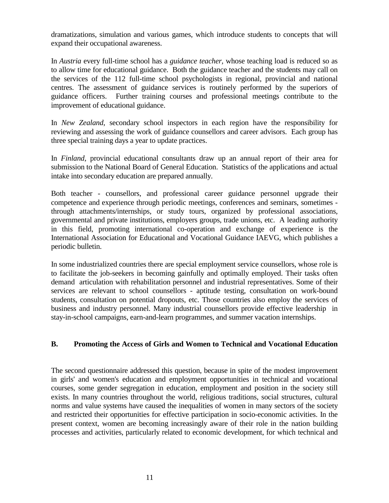dramatizations, simulation and various games, which introduce students to concepts that will expand their occupational awareness.

In *Austria* every full-time school has a *guidance teacher,* whose teaching load is reduced so as to allow time for educational guidance. Both the guidance teacher and the students may call on the services of the 112 full-time school psychologists in regional, provincial and national centres. The assessment of guidance services is routinely performed by the superiors of guidance officers. Further training courses and professional meetings contribute to the improvement of educational guidance.

In *New Zealand*, secondary school inspectors in each region have the responsibility for reviewing and assessing the work of guidance counsellors and career advisors. Each group has three special training days a year to update practices.

In *Finland*, provincial educational consultants draw up an annual report of their area for submission to the National Board of General Education. Statistics of the applications and actual intake into secondary education are prepared annually.

Both teacher - counsellors, and professional career guidance personnel upgrade their competence and experience through periodic meetings, conferences and seminars, sometimes through attachments/internships, or study tours, organized by professional associations, governmental and private institutions, employers groups, trade unions, etc. A leading authority in this field, promoting international co-operation and exchange of experience is the International Association for Educational and Vocational Guidance IAEVG, which publishes a periodic bulletin.

In some industrialized countries there are special employment service counsellors, whose role is to facilitate the job-seekers in becoming gainfully and optimally employed. Their tasks often demand articulation with rehabilitation personnel and industrial representatives. Some of their services are relevant to school counsellors - aptitude testing, consultation on work-bound students, consultation on potential dropouts, etc. Those countries also employ the services of business and industry personnel. Many industrial counsellors provide effective leadership in stay-in-school campaigns, earn-and-learn programmes, and summer vacation internships.

### **B. Promoting the Access of Girls and Women to Technical and Vocational Education**

The second questionnaire addressed this question, because in spite of the modest improvement in girls' and women's education and employment opportunities in technical and vocational courses, some gender segregation in education, employment and position in the society still exists. In many countries throughout the world, religious traditions, social structures, cultural norms and value systems have caused the inequalities of women in many sectors of the society and restricted their opportunities for effective participation in socio-economic activities. In the present context, women are becoming increasingly aware of their role in the nation building processes and activities, particularly related to economic development, for which technical and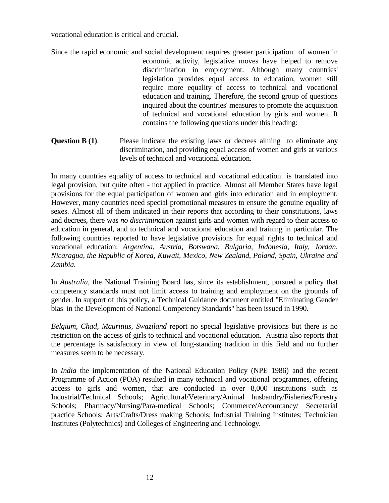vocational education is critical and crucial.

- Since the rapid economic and social development requires greater participation of women in economic activity, legislative moves have helped to remove discrimination in employment. Although many countries' legislation provides equal access to education, women still require more equality of access to technical and vocational education and training. Therefore, the second group of questions inquired about the countries' measures to promote the acquisition of technical and vocational education by girls and women. It contains the following questions under this heading:
- **Question B (1).** Please indicate the existing laws or decrees aiming to eliminate any discrimination, and providing equal access of women and girls at various levels of technical and vocational education.

In many countries equality of access to technical and vocational education is translated into legal provision, but quite often - not applied in practice. Almost all Member States have legal provisions for the equal participation of women and girls into education and in employment. However, many countries need special promotional measures to ensure the genuine equality of sexes. Almost all of them indicated in their reports that according to their constitutions, laws and decrees, there was *no discrimination* against girls and women with regard to their access to education in general, and to technical and vocational education and training in particular. The following countries reported to have legislative provisions for equal rights to technical and vocational education: *Argentina, Austria, Botswana, Bulgaria, Indonesia, Italy, Jordan, Nicaragua, the Republic of Korea, Kuwait, Mexico, New Zealand, Poland, Spain, Ukraine and Zambia.*

In *Australia*, the National Training Board has, since its establishment, pursued a policy that competency standards must not limit access to training and employment on the grounds of gender. In support of this policy, a Technical Guidance document entitled "Eliminating Gender bias in the Development of National Competency Standards" has been issued in 1990.

*Belgium, Chad, Mauritius, Swaziland* report no special legislative provisions but there is no restriction on the access of girls to technical and vocational education. Austria also reports that the percentage is satisfactory in view of long-standing tradition in this field and no further measures seem to be necessary.

In *India* the implementation of the National Education Policy (NPE 1986) and the recent Programme of Action (POA) resulted in many technical and vocational programmes, offering access to girls and women, that are conducted in over 8,000 institutions such as Industrial/Technical Schools; Agricultural/Veterinary/Animal husbandry/Fisheries/Forestry Schools; Pharmacy/Nursing/Para-medical Schools; Commerce/Accountancy/ Secretarial practice Schools; Arts/Crafts/Dress making Schools; Industrial Training Institutes; Technician Institutes (Polytechnics) and Colleges of Engineering and Technology.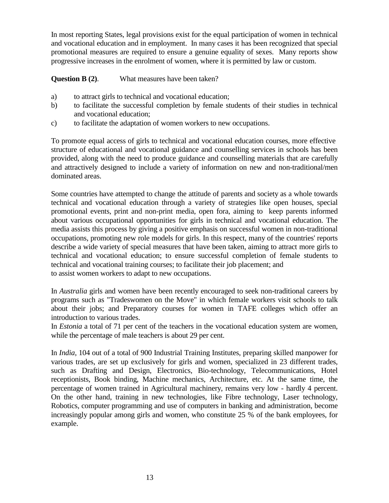In most reporting States, legal provisions exist for the equal participation of women in technical and vocational education and in employment. In many cases it has been recognized that special promotional measures are required to ensure a genuine equality of sexes. Many reports show progressive increases in the enrolment of women, where it is permitted by law or custom.

**Question B (2)**. What measures have been taken?

- a) to attract girls to technical and vocational education;
- b) to facilitate the successful completion by female students of their studies in technical and vocational education;
- c) to facilitate the adaptation of women workers to new occupations.

To promote equal access of girls to technical and vocational education courses, more effective structure of educational and vocational guidance and counselling services in schools has been provided, along with the need to produce guidance and counselling materials that are carefully and attractively designed to include a variety of information on new and non-traditional/men dominated areas.

Some countries have attempted to change the attitude of parents and society as a whole towards technical and vocational education through a variety of strategies like open houses, special promotional events, print and non-print media, open fora, aiming to keep parents informed about various occupational opportunities for girls in technical and vocational education. The media assists this process by giving a positive emphasis on successful women in non-traditional occupations, promoting new role models for girls. In this respect, many of the countries' reports describe a wide variety of special measures that have been taken, aiming to attract more girls to technical and vocational education; to ensure successful completion of female students to technical and vocational training courses; to facilitate their job placement; and to assist women workers to adapt to new occupations.

In *Australia* girls and women have been recently encouraged to seek non-traditional careers by programs such as "Tradeswomen on the Move" in which female workers visit schools to talk about their jobs; and Preparatory courses for women in TAFE colleges which offer an introduction to various trades.

In *Estonia* a total of 71 per cent of the teachers in the vocational education system are women, while the percentage of male teachers is about 29 per cent.

In *India*, 104 out of a total of 900 Industrial Training Institutes, preparing skilled manpower for various trades, are set up exclusively for girls and women, specialized in 23 different trades, such as Drafting and Design, Electronics, Bio-technology, Telecommunications, Hotel receptionists, Book binding, Machine mechanics, Architecture, etc. At the same time, the percentage of women trained in Agricultural machinery, remains very low - hardly 4 percent. On the other hand, training in new technologies, like Fibre technology, Laser technology, Robotics, computer programming and use of computers in banking and administration, become increasingly popular among girls and women, who constitute 25 % of the bank employees, for example.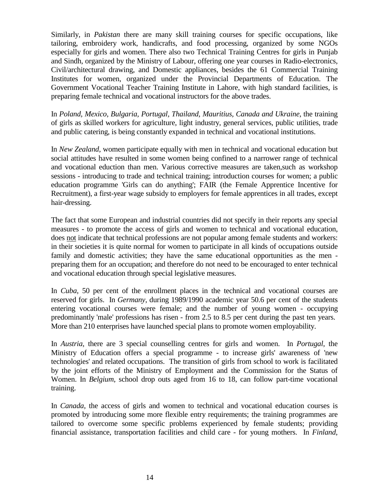Similarly, in *Pakistan* there are many skill training courses for specific occupations, like tailoring, embroidery work, handicrafts, and food processing, organized by some NGOs especially for girls and women. There also two Technical Training Centres for girls in Punjab and Sindh, organized by the Ministry of Labour, offering one year courses in Radio-electronics, Civil/architectural drawing, and Domestic appliances, besides the 61 Commercial Training Institutes for women, organized under the Provincial Departments of Education. The Government Vocational Teacher Training Institute in Lahore, with high standard facilities, is preparing female technical and vocational instructors for the above trades.

In *Poland, Mexico, Bulgaria, Portugal, Thailand, Mauritius, Canada and Ukraine*, the training of girls as skilled workers for agriculture, light industry, general services, public utilities, trade and public catering, is being constantly expanded in technical and vocational institutions.

In *New Zealand*, women participate equally with men in technical and vocational education but social attitudes have resulted in some women being confined to a narrower range of technical and vocational eduction than men. Various corrective measures are taken,such as workshop sessions - introducing to trade and technical training; introduction courses for women; a public education programme 'Girls can do anything'; FAIR (the Female Apprentice Incentive for Recruitment), a first-year wage subsidy to employers for female apprentices in all trades, except hair-dressing.

The fact that some European and industrial countries did not specify in their reports any special measures - to promote the access of girls and women to technical and vocational education, does not indicate that technical professions are not popular among female students and workers: in their societies it is quite normal for women to participate in all kinds of occupations outside family and domestic activities; they have the same educational opportunities as the men preparing them for an occupation; and therefore do not need to be encouraged to enter technical and vocational education through special legislative measures.

In *Cuba*, 50 per cent of the enrollment places in the technical and vocational courses are reserved for girls. In *Germany*, during 1989/1990 academic year 50.6 per cent of the students entering vocational courses were female; and the number of young women - occupying predominantly 'male' professions has risen - from 2.5 to 8.5 per cent during the past ten years. More than 210 enterprises have launched special plans to promote women employability.

In *Austria*, there are 3 special counselling centres for girls and women. In *Portugal*, the Ministry of Education offers a special programme - to increase girls' awareness of 'new technologies' and related occupations. The transition of girls from school to work is facilitated by the joint efforts of the Ministry of Employment and the Commission for the Status of Women. In *Belgium*, school drop outs aged from 16 to 18, can follow part-time vocational training.

In *Canada*, the access of girls and women to technical and vocational education courses is promoted by introducing some more flexible entry requirements; the training programmes are tailored to overcome some specific problems experienced by female students; providing financial assistance, transportation facilities and child care - for young mothers. In *Finland*,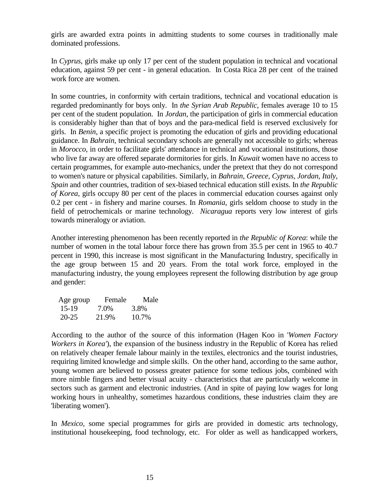girls are awarded extra points in admitting students to some courses in traditionally male dominated professions.

In *Cyprus*, girls make up only 17 per cent of the student population in technical and vocational education, against 59 per cent - in general education. In Costa Rica 28 per cent of the trained work force are women.

In some countries, in conformity with certain traditions, technical and vocational education is regarded predominantly for boys only. In *the Syrian Arab Republic*, females average 10 to 15 per cent of the student population. In *Jordan*, the participation of girls in commercial education is considerably higher than that of boys and the para-medical field is reserved exclusively for girls. In *Benin*, a specific project is promoting the education of girls and providing educational guidance. In *Bahrain*, technical secondary schools are generally not accessible to girls; whereas in *Morocco*, in order to facilitate girls' attendance in technical and vocational institutions, those who live far away are offered separate dormitories for girls. In *Kuwait* women have no access to certain programmes, for example auto-mechanics, under the pretext that they do not correspond to women's nature or physical capabilities. Similarly, in *Bahrain, Greece, Cyprus, Jordan, Italy, Spain* and other countries, tradition of sex-biased technical education still exists. In *the Republic of Korea*, girls occupy 80 per cent of the places in commercial education courses against only 0.2 per cent - in fishery and marine courses. In *Romania*, girls seldom choose to study in the field of petrochemicals or marine technology. *Nicaragua* reports very low interest of girls towards mineralogy or aviation.

Another interesting phenomenon has been recently reported in *the Republic of Korea*: while the number of women in the total labour force there has grown from 35.5 per cent in 1965 to 40.7 percent in 1990, this increase is most significant in the Manufacturing Industry, specifically in the age group between 15 and 20 years. From the total work force, employed in the manufacturing industry, the young employees represent the following distribution by age group and gender:

| Age group | Female | Male  |
|-----------|--------|-------|
| $15-19$   | 7.0%   | 3.8%  |
| $20 - 25$ | 21.9%  | 10.7% |

According to the author of the source of this information (Hagen Koo in '*Women Factory Workers in Korea'*), the expansion of the business industry in the Republic of Korea has relied on relatively cheaper female labour mainly in the textiles, electronics and the tourist industries, requiring limited knowledge and simple skills. On the other hand, according to the same author, young women are believed to possess greater patience for some tedious jobs, combined with more nimble fingers and better visual acuity - characteristics that are particularly welcome in sectors such as garment and electronic industries. (And in spite of paying low wages for long working hours in unhealthy, sometimes hazardous conditions, these industries claim they are 'liberating women').

In *Mexico*, some special programmes for girls are provided in domestic arts technology, institutional housekeeping, food technology, etc. For older as well as handicapped workers,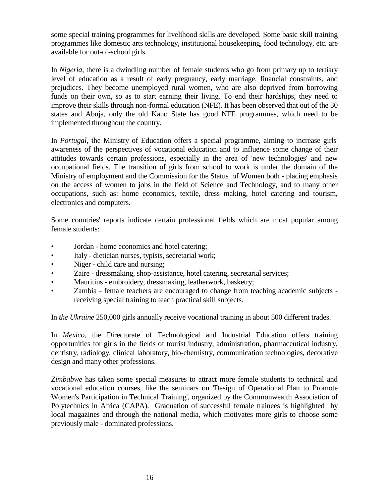some special training programmes for livelihood skills are developed. Some basic skill training programmes like domestic arts technology, institutional housekeeping, food technology, etc. are available for out-of-school girls.

In *Nigeria*, there is a dwindling number of female students who go from primary up to tertiary level of education as a result of early pregnancy, early marriage, financial constraints, and prejudices. They become unemployed rural women, who are also deprived from borrowing funds on their own, so as to start earning their living. To end their hardships, they need to improve their skills through non-formal education (NFE). It has been observed that out of the 30 states and Abuja, only the old Kano State has good NFE programmes, which need to be implemented throughout the country.

In *Portugal*, the Ministry of Education offers a special programme, aiming to increase girls' awareness of the perspectives of vocational education and to influence some change of their attitudes towards certain professions, especially in the area of 'new technologies' and new occupational fields. The transition of girls from school to work is under the domain of the Ministry of employment and the Commission for the Status of Women both - placing emphasis on the access of women to jobs in the field of Science and Technology, and to many other occupations, such as: home economics, textile, dress making, hotel catering and tourism, electronics and computers.

Some countries' reports indicate certain professional fields which are most popular among female students:

- Jordan home economics and hotel catering;
- Italy dietician nurses, typists, secretarial work;
- Niger child care and nursing;
- Zaire dressmaking, shop-assistance, hotel catering, secretarial services;
- Mauritius embroidery, dressmaking, leatherwork, basketry;
- Zambia female teachers are encouraged to change from teaching academic subjects receiving special training to teach practical skill subjects.

In *the Ukraine* 250,000 girls annually receive vocational training in about 500 different trades.

In *Mexico*, the Directorate of Technological and Industrial Education offers training opportunities for girls in the fields of tourist industry, administration, pharmaceutical industry, dentistry, radiology, clinical laboratory, bio-chemistry, communication technologies, decorative design and many other professions.

*Zimbabwe* has taken some special measures to attract more female students to technical and vocational education courses, like the seminars on 'Design of Operational Plan to Promote Women's Participation in Technical Training', organized by the Commonwealth Association of Polytechnics in Africa (CAPA). Graduation of successful female trainees is highlighted by local magazines and through the national media, which motivates more girls to choose some previously male - dominated professions.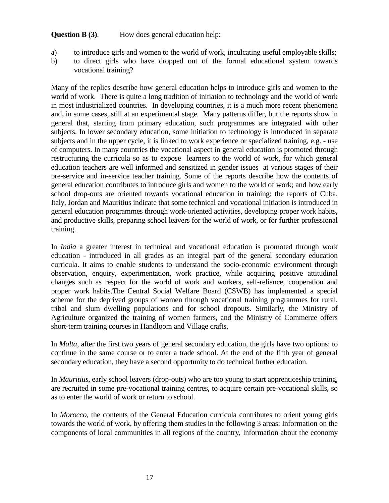### **Question B (3)**. How does general education help:

- a) to introduce girls and women to the world of work, inculcating useful employable skills;
- b) to direct girls who have dropped out of the formal educational system towards vocational training?

Many of the replies describe how general education helps to introduce girls and women to the world of work. There is quite a long tradition of initiation to technology and the world of work in most industrialized countries. In developing countries, it is a much more recent phenomena and, in some cases, still at an experimental stage. Many patterns differ, but the reports show in general that, starting from primary education, such programmes are integrated with other subjects. In lower secondary education, some initiation to technology is introduced in separate subjects and in the upper cycle, it is linked to work experience or specialized training, e.g. - use of computers. In many countries the vocational aspect in general education is promoted through restructuring the curricula so as to expose learners to the world of work, for which general education teachers are well informed and sensitized in gender issues at various stages of their pre-service and in-service teacher training. Some of the reports describe how the contents of general education contributes to introduce girls and women to the world of work; and how early school drop-outs are oriented towards vocational education in training: the reports of Cuba, Italy, Jordan and Mauritius indicate that some technical and vocational initiation is introduced in general education programmes through work-oriented activities, developing proper work habits, and productive skills, preparing school leavers for the world of work, or for further professional training.

In *India* a greater interest in technical and vocational education is promoted through work education - introduced in all grades as an integral part of the general secondary education curricula. It aims to enable students to understand the socio-economic environment through observation, enquiry, experimentation, work practice, while acquiring positive attitudinal changes such as respect for the world of work and workers, self-reliance, cooperation and proper work habits.The Central Social Welfare Board (CSWB) has implemented a special scheme for the deprived groups of women through vocational training programmes for rural, tribal and slum dwelling populations and for school dropouts. Similarly, the Ministry of Agriculture organized the training of women farmers, and the Ministry of Commerce offers short-term training courses in Handloom and Village crafts.

In *Malta*, after the first two years of general secondary education, the girls have two options: to continue in the same course or to enter a trade school. At the end of the fifth year of general secondary education, they have a second opportunity to do technical further education.

In *Mauritius*, early school leavers (drop-outs) who are too young to start apprenticeship training, are recruited in some pre-vocational training centres, to acquire certain pre-vocational skills, so as to enter the world of work or return to school.

In *Morocco*, the contents of the General Education curricula contributes to orient young girls towards the world of work, by offering them studies in the following 3 areas: Information on the components of local communities in all regions of the country, Information about the economy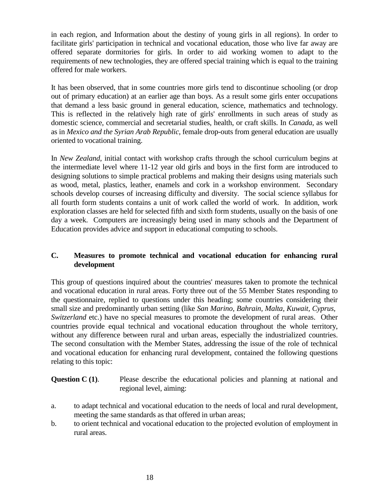in each region, and Information about the destiny of young girls in all regions). In order to facilitate girls' participation in technical and vocational education, those who live far away are offered separate dormitories for girls. In order to aid working women to adapt to the requirements of new technologies, they are offered special training which is equal to the training offered for male workers.

It has been observed, that in some countries more girls tend to discontinue schooling (or drop out of primary education) at an earlier age than boys. As a result some girls enter occupations that demand a less basic ground in general education, science, mathematics and technology. This is reflected in the relatively high rate of girls' enrollments in such areas of study as domestic science, commercial and secretarial studies, health, or craft skills. In *Canada*, as well as in *Mexico and the Syrian Arab Republic*, female drop-outs from general education are usually oriented to vocational training.

In *New Zealand*, initial contact with workshop crafts through the school curriculum begins at the intermediate level where 11-12 year old girls and boys in the first form are introduced to designing solutions to simple practical problems and making their designs using materials such as wood, metal, plastics, leather, enamels and cork in a workshop environment. Secondary schools develop courses of increasing difficulty and diversity. The social science syllabus for all fourth form students contains a unit of work called the world of work. In addition, work exploration classes are held for selected fifth and sixth form students, usually on the basis of one day a week. Computers are increasingly being used in many schools and the Department of Education provides advice and support in educational computing to schools.

### **C. Measures to promote technical and vocational education for enhancing rural development**

This group of questions inquired about the countries' measures taken to promote the technical and vocational education in rural areas. Forty three out of the 55 Member States responding to the questionnaire, replied to questions under this heading; some countries considering their small size and predominantly urban setting (like *San Marino, Bahrain, Malta, Kuwait, Cyprus, Switzerland* etc.) have no special measures to promote the development of rural areas. Other countries provide equal technical and vocational education throughout the whole territory, without any difference between rural and urban areas, especially the industrialized countries. The second consultation with the Member States, addressing the issue of the role of technical and vocational education for enhancing rural development, contained the following questions relating to this topic:

**Question C (1).** Please describe the educational policies and planning at national and regional level, aiming:

- a. to adapt technical and vocational education to the needs of local and rural development, meeting the same standards as that offered in urban areas;
- b. to orient technical and vocational education to the projected evolution of employment in rural areas.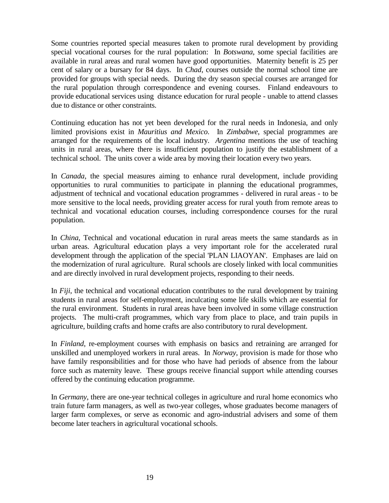Some countries reported special measures taken to promote rural development by providing special vocational courses for the rural population: In *Botswana*, some special facilities are available in rural areas and rural women have good opportunities. Maternity benefit is 25 per cent of salary or a bursary for 84 days. In *Chad*, courses outside the normal school time are provided for groups with special needs. During the dry season special courses are arranged for the rural population through correspondence and evening courses. Finland endeavours to provide educational services using distance education for rural people - unable to attend classes due to distance or other constraints.

Continuing education has not yet been developed for the rural needs in Indonesia, and only limited provisions exist in *Mauritius and Mexico*. In *Zimbabwe*, special programmes are arranged for the requirements of the local industry. *Argentina* mentions the use of teaching units in rural areas, where there is insufficient population to justify the establishment of a technical school. The units cover a wide area by moving their location every two years.

In *Canada*, the special measures aiming to enhance rural development, include providing opportunities to rural communities to participate in planning the educational programmes, adjustment of technical and vocational education programmes - delivered in rural areas - to be more sensitive to the local needs, providing greater access for rural youth from remote areas to technical and vocational education courses, including correspondence courses for the rural population.

In *China*, Technical and vocational education in rural areas meets the same standards as in urban areas. Agricultural education plays a very important role for the accelerated rural development through the application of the special 'PLAN LIAOYAN'. Emphases are laid on the modernization of rural agriculture. Rural schools are closely linked with local communities and are directly involved in rural development projects, responding to their needs.

In *Fiji*, the technical and vocational education contributes to the rural development by training students in rural areas for self-employment, inculcating some life skills which are essential for the rural environment. Students in rural areas have been involved in some village construction projects. The multi-craft programmes, which vary from place to place, and train pupils in agriculture, building crafts and home crafts are also contributory to rural development.

In *Finland*, re-employment courses with emphasis on basics and retraining are arranged for unskilled and unemployed workers in rural areas. In *Norway*, provision is made for those who have family responsibilities and for those who have had periods of absence from the labour force such as maternity leave. These groups receive financial support while attending courses offered by the continuing education programme.

In *Germany*, there are one-year technical colleges in agriculture and rural home economics who train future farm managers, as well as two-year colleges, whose graduates become managers of larger farm complexes, or serve as economic and agro-industrial advisers and some of them become later teachers in agricultural vocational schools.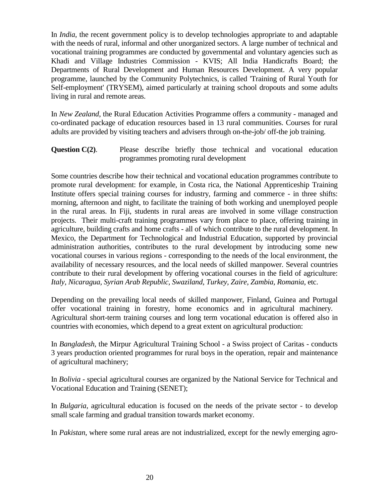In *India*, the recent government policy is to develop technologies appropriate to and adaptable with the needs of rural, informal and other unorganized sectors. A large number of technical and vocational training programmes are conducted by governmental and voluntary agencies such as Khadi and Village Industries Commission - KVIS; All India Handicrafts Board; the Departments of Rural Development and Human Resources Development. A very popular programme, launched by the Community Polytechnics, is called 'Training of Rural Youth for Self-employment' (TRYSEM), aimed particularly at training school dropouts and some adults living in rural and remote areas.

In *New Zealand*, the Rural Education Activities Programme offers a community - managed and co-ordinated package of education resources based in 13 rural communities. Courses for rural adults are provided by visiting teachers and advisers through on-the-job/ off-the job training.

**Question C(2).** Please describe briefly those technical and vocational education programmes promoting rural development

Some countries describe how their technical and vocational education programmes contribute to promote rural development: for example, in Costa rica, the National Apprenticeship Training Institute offers special training courses for industry, farming and commerce - in three shifts: morning, afternoon and night, to facilitate the training of both working and unemployed people in the rural areas. In Fiji, students in rural areas are involved in some village construction projects. Their multi-craft training programmes vary from place to place, offering training in agriculture, building crafts and home crafts - all of which contribute to the rural development. In Mexico, the Department for Technological and Industrial Education, supported by provincial administration authorities, contributes to the rural development by introducing some new vocational courses in various regions - corresponding to the needs of the local environment, the availability of necessary resources, and the local needs of skilled manpower. Several countries contribute to their rural development by offering vocational courses in the field of agriculture: *Italy, Nicaragua, Syrian Arab Republic, Swaziland, Turkey, Zaire, Zambia, Romania*, etc.

Depending on the prevailing local needs of skilled manpower, Finland, Guinea and Portugal offer vocational training in forestry, home economics and in agricultural machinery. Agricultural short-term training courses and long term vocational education is offered also in countries with economies, which depend to a great extent on agricultural production:

In *Bangladesh*, the Mirpur Agricultural Training School - a Swiss project of Caritas - conducts 3 years production oriented programmes for rural boys in the operation, repair and maintenance of agricultural machinery;

In *Bolivia* - special agricultural courses are organized by the National Service for Technical and Vocational Education and Training (SENET);

In *Bulgaria*, agricultural education is focused on the needs of the private sector - to develop small scale farming and gradual transition towards market economy.

In *Pakistan*, where some rural areas are not industrialized, except for the newly emerging agro-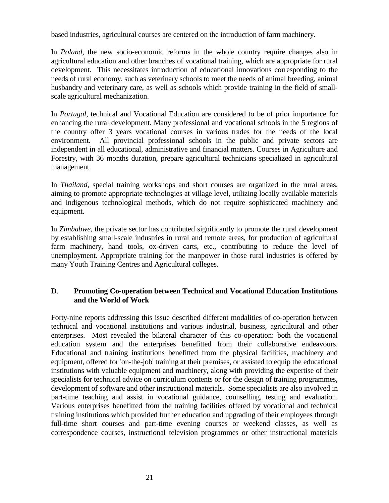based industries, agricultural courses are centered on the introduction of farm machinery.

In *Poland*, the new socio-economic reforms in the whole country require changes also in agricultural education and other branches of vocational training, which are appropriate for rural development. This necessitates introduction of educational innovations corresponding to the needs of rural economy, such as veterinary schools to meet the needs of animal breeding, animal husbandry and veterinary care, as well as schools which provide training in the field of smallscale agricultural mechanization.

In *Portugal*, technical and Vocational Education are considered to be of prior importance for enhancing the rural development. Many professional and vocational schools in the 5 regions of the country offer 3 years vocational courses in various trades for the needs of the local environment. All provincial professional schools in the public and private sectors are independent in all educational, administrative and financial matters. Courses in Agriculture and Forestry, with 36 months duration, prepare agricultural technicians specialized in agricultural management.

In *Thailand*, special training workshops and short courses are organized in the rural areas, aiming to promote appropriate technologies at village level, utilizing locally available materials and indigenous technological methods, which do not require sophisticated machinery and equipment.

In *Zimbabwe*, the private sector has contributed significantly to promote the rural development by establishing small-scale industries in rural and remote areas, for production of agricultural farm machinery, hand tools, ox-driven carts, etc., contributing to reduce the level of unemployment. Appropriate training for the manpower in those rural industries is offered by many Youth Training Centres and Agricultural colleges.

### **D**. **Promoting Co-operation between Technical and Vocational Education Institutions and the World of Work**

Forty-nine reports addressing this issue described different modalities of co-operation between technical and vocational institutions and various industrial, business, agricultural and other enterprises. Most revealed the bilateral character of this co-operation: both the vocational education system and the enterprises benefitted from their collaborative endeavours. Educational and training institutions benefitted from the physical facilities, machinery and equipment, offered for 'on-the-job' training at their premises, or assisted to equip the educational institutions with valuable equipment and machinery, along with providing the expertise of their specialists for technical advice on curriculum contents or for the design of training programmes, development of software and other instructional materials. Some specialists are also involved in part-time teaching and assist in vocational guidance, counselling, testing and evaluation. Various enterprises benefitted from the training facilities offered by vocational and technical training institutions which provided further education and upgrading of their employees through full-time short courses and part-time evening courses or weekend classes, as well as correspondence courses, instructional television programmes or other instructional materials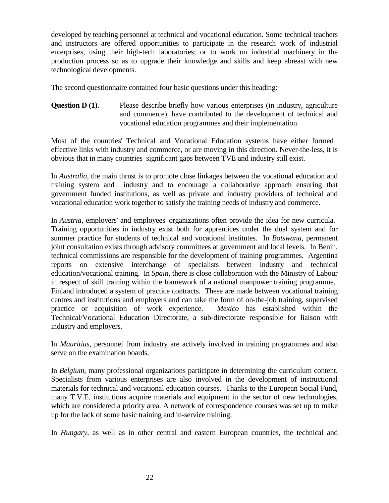developed by teaching personnel at technical and vocational education. Some technical teachers and instructors are offered opportunities to participate in the research work of industrial enterprises, using their high-tech laboratories; or to work on industrial machinery in the production process so as to upgrade their knowledge and skills and keep abreast with new technological developments.

The second questionnaire contained four basic questions under this heading:

**Question D (1).** Please describe briefly how various enterprises (in industry, agriculture and commerce), have contributed to the development of technical and vocational education programmes and their implementation.

Most of the countries' Technical and Vocational Education systems have either formed effective links with industry and commerce, or are moving in this direction. Never-the-less, it is obvious that in many countries significant gaps between TVE and industry still exist.

In *Australia*, the main thrust is to promote close linkages between the vocational education and training system and industry and to encourage a collaborative approach ensuring that government funded institutions, as well as private and industry providers of technical and vocational education work together to satisfy the training needs of industry and commerce.

In *Austria*, employers' and employees' organizations often provide the idea for new curricula. Training opportunities in industry exist both for apprentices under the dual system and for summer practice for students of technical and vocational institutes. In *Botswana*, permanent joint consultation exists through advisory committees at government and local levels. In Benin, technical commissions are responsible for the development of training programmes. Argentina reports on extensive interchange of specialists between industry and technical education/vocational training. In *Spain*, there is close collaboration with the Ministry of Labour in respect of skill training within the framework of a national manpower training programme. Finland introduced a system of practice contracts. These are made between vocational training centres and institutions and employers and can take the form of on-the-job training, supervised practice or acquisition of work experience. *Mexico* has established within the Technical/Vocational Education Directorate, a sub-directorate responsible for liaison with industry and employers.

In *Mauritius*, personnel from industry are actively involved in training programmes and also serve on the examination boards.

In *Belgium*, many professional organizations participate in determining the curriculum content. Specialists from various enterprises are also involved in the development of instructional materials for technical and vocational education courses. Thanks to the European Social Fund, many T.V.E. institutions acquire materials and equipment in the sector of new technologies, which are considered a priority area. A network of correspondence courses was set up to make up for the lack of some basic training and in-service training.

In *Hungary*, as well as in other central and eastern European countries, the technical and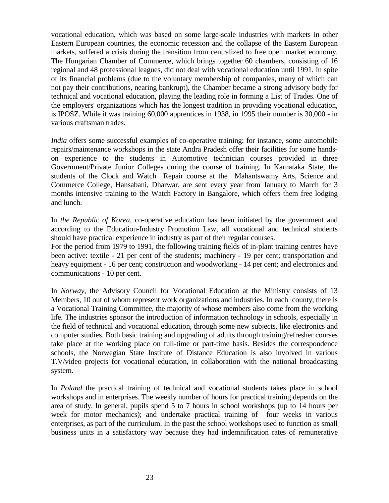vocational education, which was based on some large-scale industries with markets in other Eastern European countries, the economic recession and the collapse of the Eastern European markets, suffered a crisis during the transition from centralized to free open market economy. The Hungarian Chamber of Commerce, which brings together 60 chambers, consisting of 16 regional and 48 professional leagues, did not deal with vocational education until 1991. In spite of its financial problems (due to the voluntary membership of companies, many of which can not pay their contributions, nearing bankrupt), the Chamber became a strong advisory body for technical and vocational education, playing the leading role in forming a List of Trades. One of the employers' organizations which has the longest tradition in providing vocational education, is IPOSZ. While it was training 60,000 apprentices in 1938, in 1995 their number is 30,000 - in various craftsman trades.

*India* offers some successful examples of co-operative training: for instance, some automobile repairs/maintenance workshops in the state Andra Pradesh offer their facilities for some handson experience to the students in Automotive technician courses provided in three Government/Private Junior Colleges during the course of training. In Karnataka State, the students of the Clock and Watch Repair course at the Mahantswamy Arts, Science and Commerce College, Hansabani, Dharwar, are sent every year from January to March for 3 months intensive training to the Watch Factory in Bangalore, which offers them free lodging and lunch.

In *the Republic of Korea*, co-operative education has been initiated by the government and according to the Education-Industry Promotion Law, all vocational and technical students should have practical experience in industry as part of their regular courses.

For the period from 1979 to 1991, the following training fields of in-plant training centres have been active: textile - 21 per cent of the students; machinery - 19 per cent; transportation and heavy equipment - 16 per cent; construction and woodworking - 14 per cent; and electronics and communications - 10 per cent.

In *Norway*, the Advisory Council for Vocational Education at the Ministry consists of 13 Members, 10 out of whom represent work organizations and industries. In each county, there is a Vocational Training Committee, the majority of whose members also come from the working life. The industries sponsor the introduction of information technology in schools, especially in the field of technical and vocational education, through some new subjects, like electronics and computer studies. Both basic training and upgrading of adults through training/refresher courses take place at the working place on full-time or part-time basis. Besides the correspondence schools, the Norwegian State Institute of Distance Education is also involved in various T.V/video projects for vocational education, in collaboration with the national broadcasting system.

In *Poland* the practical training of technical and vocational students takes place in school workshops and in enterprises. The weekly number of hours for practical training depends on the area of study. In general, pupils spend 5 to 7 hours in school workshops (up to 14 hours per week for motor mechanics); and undertake practical training of four weeks in various enterprises, as part of the curriculum. In the past the school workshops used to function as small business units in a satisfactory way because they had indemnification rates of remunerative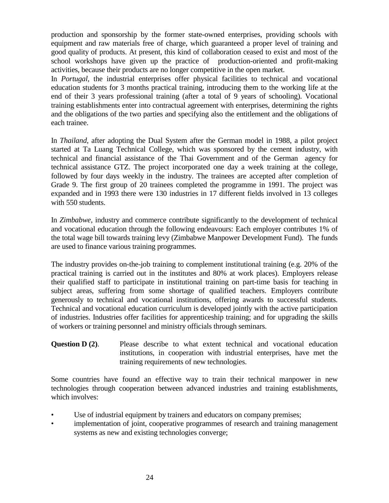production and sponsorship by the former state-owned enterprises, providing schools with equipment and raw materials free of charge, which guaranteed a proper level of training and good quality of products. At present, this kind of collaboration ceased to exist and most of the school workshops have given up the practice of production-oriented and profit-making activities, because their products are no longer competitive in the open market.

In *Portugal*, the industrial enterprises offer physical facilities to technical and vocational education students for 3 months practical training, introducing them to the working life at the end of their 3 years professional training (after a total of 9 years of schooling). Vocational training establishments enter into contractual agreement with enterprises, determining the rights and the obligations of the two parties and specifying also the entitlement and the obligations of each trainee.

In *Thailand*, after adopting the Dual System after the German model in 1988, a pilot project started at Ta Luang Technical College, which was sponsored by the cement industry, with technical and financial assistance of the Thai Government and of the German agency for technical assistance GTZ. The project incorporated one day a week training at the college, followed by four days weekly in the industry. The trainees are accepted after completion of Grade 9. The first group of 20 trainees completed the programme in 1991. The project was expanded and in 1993 there were 130 industries in 17 different fields involved in 13 colleges with 550 students.

In *Zimbabwe*, industry and commerce contribute significantly to the development of technical and vocational education through the following endeavours: Each employer contributes 1% of the total wage bill towards training levy (Zimbabwe Manpower Development Fund). The funds are used to finance various training programmes.

The industry provides on-the-job training to complement institutional training (e.g. 20% of the practical training is carried out in the institutes and 80% at work places). Employers release their qualified staff to participate in institutional training on part-time basis for teaching in subject areas, suffering from some shortage of qualified teachers. Employers contribute generously to technical and vocational institutions, offering awards to successful students. Technical and vocational education curriculum is developed jointly with the active participation of industries. Industries offer facilities for apprenticeship training; and for upgrading the skills of workers or training personnel and ministry officials through seminars.

### **Question D (2).** Please describe to what extent technical and vocational education institutions, in cooperation with industrial enterprises, have met the training requirements of new technologies.

Some countries have found an effective way to train their technical manpower in new technologies through cooperation between advanced industries and training establishments, which involves:

- Use of industrial equipment by trainers and educators on company premises;
- implementation of joint, cooperative programmes of research and training management systems as new and existing technologies converge;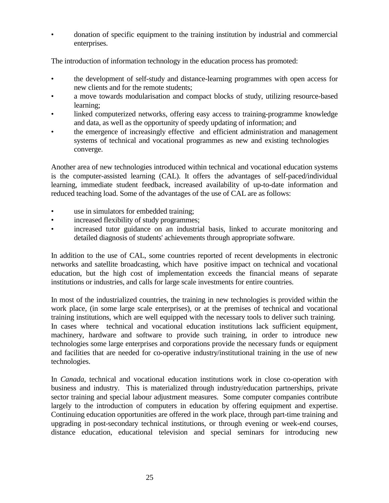• donation of specific equipment to the training institution by industrial and commercial enterprises.

The introduction of information technology in the education process has promoted:

- the development of self-study and distance-learning programmes with open access for new clients and for the remote students;
- a move towards modularisation and compact blocks of study, utilizing resource-based learning;
- linked computerized networks, offering easy access to training-programme knowledge and data, as well as the opportunity of speedy updating of information; and
- the emergence of increasingly effective and efficient administration and management systems of technical and vocational programmes as new and existing technologies converge.

Another area of new technologies introduced within technical and vocational education systems is the computer-assisted learning (CAL). It offers the advantages of self-paced/individual learning, immediate student feedback, increased availability of up-to-date information and reduced teaching load. Some of the advantages of the use of CAL are as follows:

- use in simulators for embedded training;
- increased flexibility of study programmes;
- increased tutor guidance on an industrial basis, linked to accurate monitoring and detailed diagnosis of students' achievements through appropriate software.

In addition to the use of CAL, some countries reported of recent developments in electronic networks and satellite broadcasting, which have positive impact on technical and vocational education, but the high cost of implementation exceeds the financial means of separate institutions or industries, and calls for large scale investments for entire countries.

In most of the industrialized countries, the training in new technologies is provided within the work place, (in some large scale enterprises), or at the premises of technical and vocational training institutions, which are well equipped with the necessary tools to deliver such training. In cases where technical and vocational education institutions lack sufficient equipment, machinery, hardware and software to provide such training, in order to introduce new technologies some large enterprises and corporations provide the necessary funds or equipment and facilities that are needed for co-operative industry/institutional training in the use of new technologies.

In *Canada*, technical and vocational education institutions work in close co-operation with business and industry. This is materialized through industry/education partnerships, private sector training and special labour adjustment measures. Some computer companies contribute largely to the introduction of computers in education by offering equipment and expertise. Continuing education opportunities are offered in the work place, through part-time training and upgrading in post-secondary technical institutions, or through evening or week-end courses, distance education, educational television and special seminars for introducing new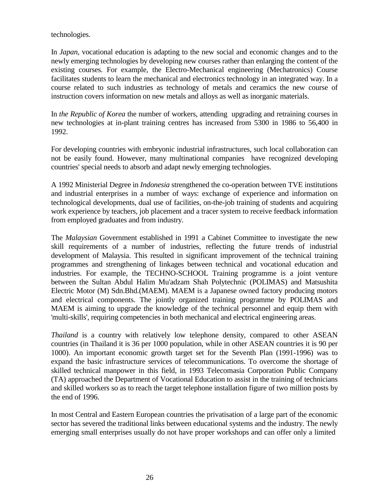technologies.

In *Japan*, vocational education is adapting to the new social and economic changes and to the newly emerging technologies by developing new courses rather than enlarging the content of the existing courses. For example, the Electro-Mechanical engineering (Mechatronics) Course facilitates students to learn the mechanical and electronics technology in an integrated way. In a course related to such industries as technology of metals and ceramics the new course of instruction covers information on new metals and alloys as well as inorganic materials.

In *the Republic of Korea* the number of workers, attending upgrading and retraining courses in new technologies at in-plant training centres has increased from 5300 in 1986 to 56,400 in 1992.

For developing countries with embryonic industrial infrastructures, such local collaboration can not be easily found. However, many multinational companies have recognized developing countries' special needs to absorb and adapt newly emerging technologies.

A 1992 Ministerial Degree in *Indonesia* strengthened the co-operation between TVE institutions and industrial enterprises in a number of ways: exchange of experience and information on technological developments, dual use of facilities, on-the-job training of students and acquiring work experience by teachers, job placement and a tracer system to receive feedback information from employed graduates and from industry.

The *Malaysian* Government established in 1991 a Cabinet Committee to investigate the new skill requirements of a number of industries, reflecting the future trends of industrial development of Malaysia. This resulted in significant improvement of the technical training programmes and strengthening of linkages between technical and vocational education and industries. For example, the TECHNO-SCHOOL Training programme is a joint venture between the Sultan Abdul Halim Mu'adzam Shah Polytechnic (POLIMAS) and Matsushita Electric Motor (M) Sdn.Bhd.(MAEM). MAEM is a Japanese owned factory producing motors and electrical components. The jointly organized training programme by POLIMAS and MAEM is aiming to upgrade the knowledge of the technical personnel and equip them with 'multi-skills', requiring competencies in both mechanical and electrical engineering areas.

*Thailand* is a country with relatively low telephone density, compared to other ASEAN countries (in Thailand it is 36 per 1000 population, while in other ASEAN countries it is 90 per 1000). An important economic growth target set for the Seventh Plan (1991-1996) was to expand the basic infrastructure services of telecommunications. To overcome the shortage of skilled technical manpower in this field, in 1993 Telecomasia Corporation Public Company (TA) approached the Department of Vocational Education to assist in the training of technicians and skilled workers so as to reach the target telephone installation figure of two million posts by the end of 1996.

In most Central and Eastern European countries the privatisation of a large part of the economic sector has severed the traditional links between educational systems and the industry. The newly emerging small enterprises usually do not have proper workshops and can offer only a limited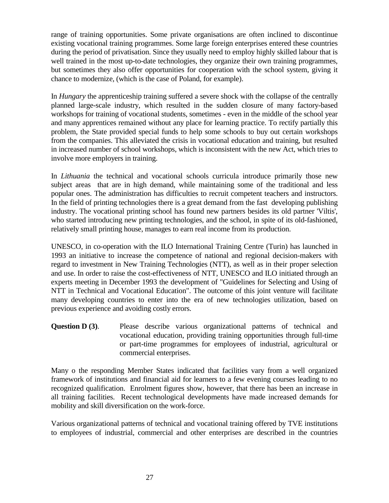range of training opportunities. Some private organisations are often inclined to discontinue existing vocational training programmes. Some large foreign enterprises entered these countries during the period of privatisation. Since they usually need to employ highly skilled labour that is well trained in the most up-to-date technologies, they organize their own training programmes, but sometimes they also offer opportunities for cooperation with the school system, giving it chance to modernize, (which is the case of Poland, for example).

In *Hungary* the apprenticeship training suffered a severe shock with the collapse of the centrally planned large-scale industry, which resulted in the sudden closure of many factory-based workshops for training of vocational students, sometimes - even in the middle of the school year and many apprentices remained without any place for learning practice. To rectify partially this problem, the State provided special funds to help some schools to buy out certain workshops from the companies. This alleviated the crisis in vocational education and training, but resulted in increased number of school workshops, which is inconsistent with the new Act, which tries to involve more employers in training.

In *Lithuania* the technical and vocational schools curricula introduce primarily those new subject areas that are in high demand, while maintaining some of the traditional and less popular ones. The administration has difficulties to recruit competent teachers and instructors. In the field of printing technologies there is a great demand from the fast developing publishing industry. The vocational printing school has found new partners besides its old partner 'Viltis', who started introducing new printing technologies, and the school, in spite of its old-fashioned, relatively small printing house, manages to earn real income from its production.

UNESCO, in co-operation with the ILO International Training Centre (Turin) has launched in 1993 an initiative to increase the competence of national and regional decision-makers with regard to investment in New Training Technologies (NTT), as well as in their proper selection and use. In order to raise the cost-effectiveness of NTT, UNESCO and ILO initiated through an experts meeting in December 1993 the development of "Guidelines for Selecting and Using of NTT in Technical and Vocational Education". The outcome of this joint venture will facilitate many developing countries to enter into the era of new technologies utilization, based on previous experience and avoiding costly errors.

**Question D (3).** Please describe various organizational patterns of technical and vocational education, providing training opportunities through full-time or part-time programmes for employees of industrial, agricultural or commercial enterprises.

Many o the responding Member States indicated that facilities vary from a well organized framework of institutions and financial aid for learners to a few evening courses leading to no recognized qualification. Enrolment figures show, however, that there has been an increase in all training facilities. Recent technological developments have made increased demands for mobility and skill diversification on the work-force.

Various organizational patterns of technical and vocational training offered by TVE institutions to employees of industrial, commercial and other enterprises are described in the countries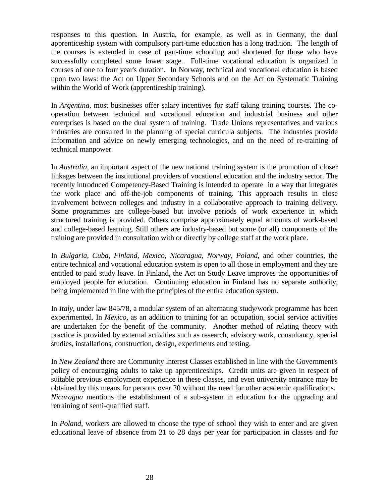responses to this question. In Austria, for example, as well as in Germany, the dual apprenticeship system with compulsory part-time education has a long tradition. The length of the courses is extended in case of part-time schooling and shortened for those who have successfully completed some lower stage. Full-time vocational education is organized in courses of one to four year's duration. In Norway, technical and vocational education is based upon two laws: the Act on Upper Secondary Schools and on the Act on Systematic Training within the World of Work (apprenticeship training).

In *Argentina*, most businesses offer salary incentives for staff taking training courses. The cooperation between technical and vocational education and industrial business and other enterprises is based on the dual system of training. Trade Unions representatives and various industries are consulted in the planning of special curricula subjects. The industries provide information and advice on newly emerging technologies, and on the need of re-training of technical manpower.

In *Australia*, an important aspect of the new national training system is the promotion of closer linkages between the institutional providers of vocational education and the industry sector. The recently introduced Competency-Based Training is intended to operate in a way that integrates the work place and off-the-job components of training. This approach results in close involvement between colleges and industry in a collaborative approach to training delivery. Some programmes are college-based but involve periods of work experience in which structured training is provided. Others comprise approximately equal amounts of work-based and college-based learning. Still others are industry-based but some (or all) components of the training are provided in consultation with or directly by college staff at the work place.

In *Bulgaria, Cuba, Finland, Mexico, Nicaragua, Norway, Poland*, and other countries, the entire technical and vocational education system is open to all those in employment and they are entitled to paid study leave. In Finland, the Act on Study Leave improves the opportunities of employed people for education. Continuing education in Finland has no separate authority, being implemented in line with the principles of the entire education system.

In *Italy*, under law 845/78, a modular system of an alternating study/work programme has been experimented. In *Mexico*, as an addition to training for an occupation, social service activities are undertaken for the benefit of the community. Another method of relating theory with practice is provided by external activities such as research, advisory work, consultancy, special studies, installations, construction, design, experiments and testing.

In *New Zealand* there are Community Interest Classes established in line with the Government's policy of encouraging adults to take up apprenticeships. Credit units are given in respect of suitable previous employment experience in these classes, and even university entrance may be obtained by this means for persons over 20 without the need for other academic qualifications. *Nicaragua* mentions the establishment of a sub-system in education for the upgrading and retraining of semi-qualified staff.

In *Poland*, workers are allowed to choose the type of school they wish to enter and are given educational leave of absence from 21 to 28 days per year for participation in classes and for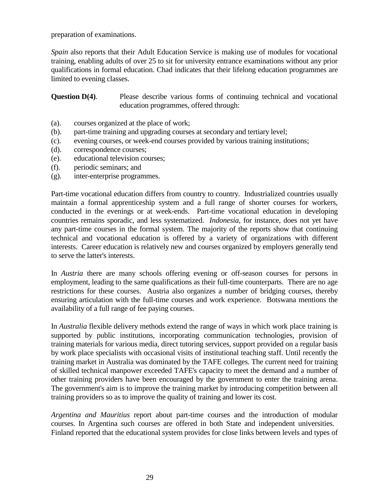preparation of examinations.

*Spain* also reports that their Adult Education Service is making use of modules for vocational training, enabling adults of over 25 to sit for university entrance examinations without any prior qualifications in formal education. Chad indicates that their lifelong education programmes are limited to evening classes.

**Question D(4).** Please describe various forms of continuing technical and vocational education programmes, offered through:

- (a). courses organized at the place of work;
- (b). part-time training and upgrading courses at secondary and tertiary level;
- (c). evening courses, or week-end courses provided by various training institutions;
- (d). correspondence courses;
- (e). educational television courses;
- (f). periodic seminars; and
- (g). inter-enterprise programmes.

Part-time vocational education differs from country to country. Industrialized countries usually maintain a formal apprenticeship system and a full range of shorter courses for workers, conducted in the evenings or at week-ends. Part-time vocational education in developing countries remains sporadic, and less systematized. *Indonesia*, for instance, does not yet have any part-time courses in the formal system. The majority of the reports show that continuing technical and vocational education is offered by a variety of organizations with different interests. Career education is relatively new and courses organized by employers generally tend to serve the latter's interests.

In *Austria* there are many schools offering evening or off-season courses for persons in employment, leading to the same qualifications as their full-time counterparts. There are no age restrictions for these courses. Austria also organizes a number of bridging courses, thereby ensuring articulation with the full-time courses and work experience. Botswana mentions the availability of a full range of fee paying courses.

In *Australia* flexible delivery methods extend the range of ways in which work place training is supported by public institutions, incorporating communication technologies, provision of training materials for various media, direct tutoring services, support provided on a regular basis by work place specialists with occasional visits of institutional teaching staff. Until recently the training market in Australia was dominated by the TAFE colleges. The current need for training of skilled technical manpower exceeded TAFE's capacity to meet the demand and a number of other training providers have been encouraged by the government to enter the training arena. The government's aim is to improve the training market by introducing competition between all training providers so as to improve the quality of training and lower its cost.

*Argentina and Mauritius* report about part-time courses and the introduction of modular courses. In Argentina such courses are offered in both State and independent universities. Finland reported that the educational system provides for close links between levels and types of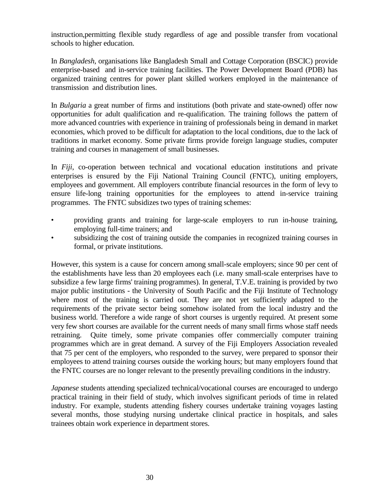instruction,permitting flexible study regardless of age and possible transfer from vocational schools to higher education.

In *Bangladesh*, organisations like Bangladesh Small and Cottage Corporation (BSCIC) provide enterprise-based and in-service training facilities. The Power Development Board (PDB) has organized training centres for power plant skilled workers employed in the maintenance of transmission and distribution lines.

In *Bulgaria* a great number of firms and institutions (both private and state-owned) offer now opportunities for adult qualification and re-qualification. The training follows the pattern of more advanced countries with experience in training of professionals being in demand in market economies, which proved to be difficult for adaptation to the local conditions, due to the lack of traditions in market economy. Some private firms provide foreign language studies, computer training and courses in management of small businesses.

In *Fiji*, co-operation between technical and vocational education institutions and private enterprises is ensured by the Fiji National Training Council (FNTC), uniting employers, employees and government. All employers contribute financial resources in the form of levy to ensure life-long training opportunities for the employees to attend in-service training programmes. The FNTC subsidizes two types of training schemes:

- providing grants and training for large-scale employers to run in-house training, employing full-time trainers; and
- subsidizing the cost of training outside the companies in recognized training courses in formal, or private institutions.

However, this system is a cause for concern among small-scale employers; since 90 per cent of the establishments have less than 20 employees each (i.e. many small-scale enterprises have to subsidize a few large firms' training programmes). In general, T.V.E. training is provided by two major public institutions - the University of South Pacific and the Fiji Institute of Technology where most of the training is carried out. They are not yet sufficiently adapted to the requirements of the private sector being somehow isolated from the local industry and the business world. Therefore a wide range of short courses is urgently required. At present some very few short courses are available for the current needs of many small firms whose staff needs retraining. Quite timely, some private companies offer commercially computer training programmes which are in great demand. A survey of the Fiji Employers Association revealed that 75 per cent of the employers, who responded to the survey, were prepared to sponsor their employees to attend training courses outside the working hours; but many employers found that the FNTC courses are no longer relevant to the presently prevailing conditions in the industry.

*Japanese* students attending specialized technical/vocational courses are encouraged to undergo practical training in their field of study, which involves significant periods of time in related industry. For example, students attending fishery courses undertake training voyages lasting several months, those studying nursing undertake clinical practice in hospitals, and sales trainees obtain work experience in department stores.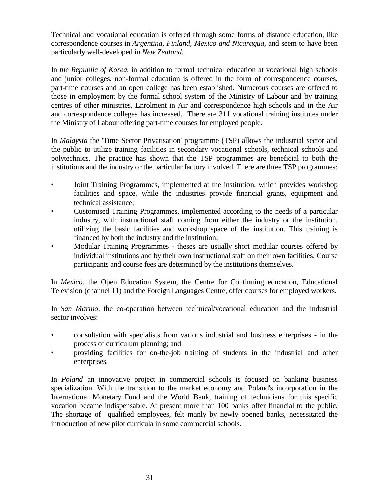Technical and vocational education is offered through some forms of distance education, like correspondence courses in *Argentina, Finland, Mexico and Nicaragua*, and seem to have been particularly well-developed in *New Zealand*.

In *the Republic of Korea*, in addition to formal technical education at vocational high schools and junior colleges, non-formal education is offered in the form of correspondence courses, part-time courses and an open college has been established. Numerous courses are offered to those in employment by the formal school system of the Ministry of Labour and by training centres of other ministries. Enrolment in Air and correspondence high schools and in the Air and correspondence colleges has increased. There are 311 vocational training institutes under the Ministry of Labour offering part-time courses for employed people.

In *Malaysia* the 'Time Sector Privatisation' programme (TSP) allows the industrial sector and the public to utilize training facilities in secondary vocational schools, technical schools and polytechnics. The practice has shown that the TSP programmes are beneficial to both the institutions and the industry or the particular factory involved. There are three TSP programmes:

- Joint Training Programmes, implemented at the institution, which provides workshop facilities and space, while the industries provide financial grants, equipment and technical assistance;
- Customised Training Programmes, implemented according to the needs of a particular industry, with instructional staff coming from either the industry or the institution, utilizing the basic facilities and workshop space of the institution. This training is financed by both the industry and the institution;
- Modular Training Programmes theses are usually short modular courses offered by individual institutions and by their own instructional staff on their own facilities. Course participants and course fees are determined by the institutions themselves.

In *Mexico*, the Open Education System, the Centre for Continuing education, Educational Television (channel 11) and the Foreign Languages Centre, offer courses for employed workers.

In *San Marino*, the co-operation between technical/vocational education and the industrial sector involves:

- consultation with specialists from various industrial and business enterprises in the process of curriculum planning; and
- providing facilities for on-the-job training of students in the industrial and other enterprises.

In *Poland* an innovative project in commercial schools is focused on banking business specialization. With the transition to the market economy and Poland's incorporation in the International Monetary Fund and the World Bank, training of technicians for this specific vocation became indispensable. At present more than 100 banks offer financial to the public. The shortage of qualified employees, felt manly by newly opened banks, necessitated the introduction of new pilot curricula in some commercial schools.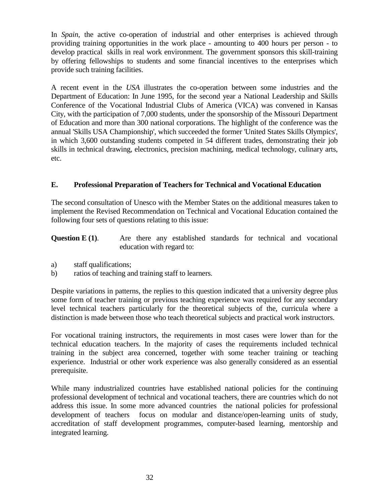In *Spain*, the active co-operation of industrial and other enterprises is achieved through providing training opportunities in the work place - amounting to 400 hours per person - to develop practical skills in real work environment. The government sponsors this skill-training by offering fellowships to students and some financial incentives to the enterprises which provide such training facilities.

A recent event in the *USA* illustrates the co-operation between some industries and the Department of Education: In June 1995, for the second year a National Leadership and Skills Conference of the Vocational Industrial Clubs of America (VICA) was convened in Kansas City, with the participation of 7,000 students, under the sponsorship of the Missouri Department of Education and more than 300 national corporations. The highlight of the conference was the annual 'Skills USA Championship', which succeeded the former 'United States Skills Olympics', in which 3,600 outstanding students competed in 54 different trades, demonstrating their job skills in technical drawing, electronics, precision machining, medical technology, culinary arts, etc.

### **E. Professional Preparation of Teachers for Technical and Vocational Education**

The second consultation of Unesco with the Member States on the additional measures taken to implement the Revised Recommendation on Technical and Vocational Education contained the following four sets of questions relating to this issue:

- **Question E (1).** Are there any established standards for technical and vocational education with regard to:
- a) staff qualifications;
- b) ratios of teaching and training staff to learners.

Despite variations in patterns, the replies to this question indicated that a university degree plus some form of teacher training or previous teaching experience was required for any secondary level technical teachers particularly for the theoretical subjects of the, curricula where a distinction is made between those who teach theoretical subjects and practical work instructors.

For vocational training instructors, the requirements in most cases were lower than for the technical education teachers. In the majority of cases the requirements included technical training in the subject area concerned, together with some teacher training or teaching experience. Industrial or other work experience was also generally considered as an essential prerequisite.

While many industrialized countries have established national policies for the continuing professional development of technical and vocational teachers, there are countries which do not address this issue. In some more advanced countries the national policies for professional development of teachers focus on modular and distance/open-learning units of study, accreditation of staff development programmes, computer-based learning, mentorship and integrated learning.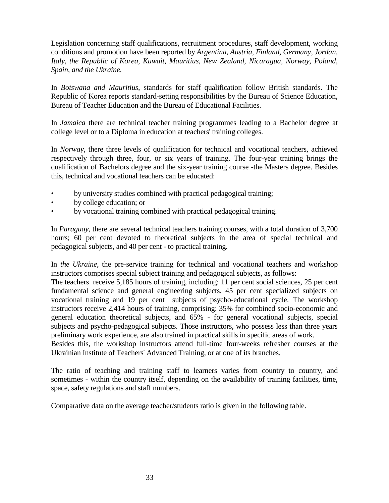Legislation concerning staff qualifications, recruitment procedures, staff development, working conditions and promotion have been reported by *Argentina, Austria, Finland, Germany, Jordan, Italy, the Republic of Korea, Kuwait, Mauritius, New Zealand, Nicaragua, Norway, Poland, Spain, and the Ukraine.*

In *Botswana and Mauritius*, standards for staff qualification follow British standards. The Republic of Korea reports standard-setting responsibilities by the Bureau of Science Education, Bureau of Teacher Education and the Bureau of Educational Facilities.

In *Jamaica* there are technical teacher training programmes leading to a Bachelor degree at college level or to a Diploma in education at teachers' training colleges.

In *Norway*, there three levels of qualification for technical and vocational teachers, achieved respectively through three, four, or six years of training. The four-year training brings the qualification of Bachelors degree and the six-year training course -the Masters degree. Besides this, technical and vocational teachers can be educated:

- by university studies combined with practical pedagogical training;
- by college education; or
- by vocational training combined with practical pedagogical training.

In *Paraguay*, there are several technical teachers training courses, with a total duration of 3,700 hours; 60 per cent devoted to theoretical subjects in the area of special technical and pedagogical subjects, and 40 per cent - to practical training.

In *the Ukraine*, the pre-service training for technical and vocational teachers and workshop instructors comprises special subject training and pedagogical subjects, as follows:

The teachers receive 5,185 hours of training, including: 11 per cent social sciences, 25 per cent fundamental science and general engineering subjects, 45 per cent specialized subjects on vocational training and 19 per cent subjects of psycho-educational cycle. The workshop instructors receive 2,414 hours of training, comprising: 35% for combined socio-economic and general education theoretical subjects, and 65% - for general vocational subjects, special subjects and psycho-pedagogical subjects. Those instructors, who possess less than three years preliminary work experience, are also trained in practical skills in specific areas of work.

Besides this, the workshop instructors attend full-time four-weeks refresher courses at the Ukrainian Institute of Teachers' Advanced Training, or at one of its branches.

The ratio of teaching and training staff to learners varies from country to country, and sometimes - within the country itself, depending on the availability of training facilities, time, space, safety regulations and staff numbers.

Comparative data on the average teacher/students ratio is given in the following table.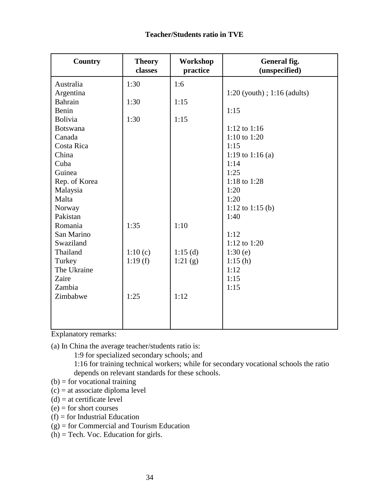| <b>Country</b>  | <b>Theory</b><br>classes | Workshop<br>practice | General fig.<br>(unspecified)   |
|-----------------|--------------------------|----------------------|---------------------------------|
| Australia       | 1:30                     | 1:6                  |                                 |
| Argentina       |                          |                      | $1:20$ (youth); $1:16$ (adults) |
| <b>Bahrain</b>  | 1:30                     | 1:15                 |                                 |
| Benin           |                          |                      | 1:15                            |
| <b>Bolivia</b>  | 1:30                     | 1:15                 |                                 |
| <b>Botswana</b> |                          |                      | 1:12 to $1:16$                  |
| Canada          |                          |                      | 1:10 to 1:20                    |
| Costa Rica      |                          |                      | 1:15                            |
| China           |                          |                      | 1:19 to 1:16 (a)                |
| Cuba            |                          |                      | 1:14                            |
| Guinea          |                          |                      | 1:25                            |
| Rep. of Korea   |                          |                      | 1:18 to 1:28                    |
| Malaysia        |                          |                      | 1:20                            |
| Malta           |                          |                      | 1:20                            |
| Norway          |                          |                      | 1:12 to 1:15 (b)                |
| Pakistan        |                          |                      | 1:40                            |
| Romania         | 1:35                     | 1:10                 |                                 |
| San Marino      |                          |                      | 1:12                            |
| Swaziland       |                          |                      | 1:12 to 1:20                    |
| Thailand        | 1:10(c)                  | 1:15(d)              | 1:30(e)                         |
| Turkey          | 1:19(f)                  | 1:21(g)              | 1:15(h)                         |
| The Ukraine     |                          |                      | 1:12                            |
| Zaire           |                          |                      | 1:15                            |
| Zambia          |                          |                      | 1:15                            |
| Zimbabwe        | 1:25                     | 1:12                 |                                 |
|                 |                          |                      |                                 |
|                 |                          |                      |                                 |
|                 |                          |                      |                                 |

Explanatory remarks:

(a) In China the average teacher/students ratio is:

1:9 for specialized secondary schools; and

1:16 for training technical workers; while for secondary vocational schools the ratio depends on relevant standards for these schools.

- $(b)$  = for vocational training
- (c) = at associate diploma level
- $(d)$  = at certificate level
- $(e)$  = for short courses
- $(f)$  = for Industrial Education

(g) = for Commercial and Tourism Education

(h) = Tech. Voc. Education for girls.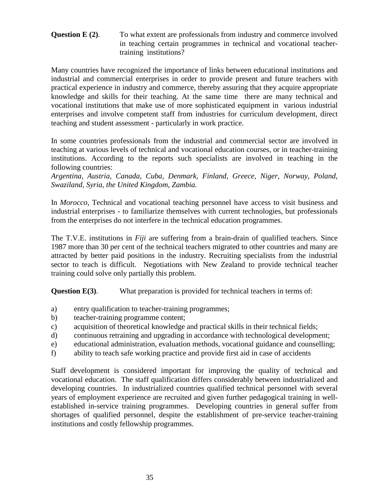### **Question E (2).** To what extent are professionals from industry and commerce involved in teaching certain programmes in technical and vocational teachertraining institutions?

Many countries have recognized the importance of links between educational institutions and industrial and commercial enterprises in order to provide present and future teachers with practical experience in industry and commerce, thereby assuring that they acquire appropriate knowledge and skills for their teaching. At the same time there are many technical and vocational institutions that make use of more sophisticated equipment in various industrial enterprises and involve competent staff from industries for curriculum development, direct teaching and student assessment - particularly in work practice.

In some countries professionals from the industrial and commercial sector are involved in teaching at various levels of technical and vocational education courses, or in teacher-training institutions. According to the reports such specialists are involved in teaching in the following countries:

*Argentina, Austria, Canada, Cuba, Denmark, Finland, Greece, Niger, Norway, Poland, Swaziland, Syria, the United Kingdom, Zambia.*

In *Morocco*, Technical and vocational teaching personnel have access to visit business and industrial enterprises - to familiarize themselves with current technologies, but professionals from the enterprises do not interfere in the technical education programmes.

The T.V.E. institutions in *Fiji* are suffering from a brain-drain of qualified teachers. Since 1987 more than 30 per cent of the technical teachers migrated to other countries and many are attracted by better paid positions in the industry. Recruiting specialists from the industrial sector to teach is difficult. Negotiations with New Zealand to provide technical teacher training could solve only partially this problem.

**Question E(3)**. What preparation is provided for technical teachers in terms of:

- a) entry qualification to teacher-training programmes;
- b) teacher-training programme content;
- c) acquisition of theoretical knowledge and practical skills in their technical fields;
- d) continuous retraining and upgrading in accordance with technological development;
- e) educational administration, evaluation methods, vocational guidance and counselling;
- f) ability to teach safe working practice and provide first aid in case of accidents

Staff development is considered important for improving the quality of technical and vocational education. The staff qualification differs considerably between industrialized and developing countries. In industrialized countries qualified technical personnel with several years of employment experience are recruited and given further pedagogical training in wellestablished in-service training programmes. Developing countries in general suffer from shortages of qualified personnel, despite the establishment of pre-service teacher-training institutions and costly fellowship programmes.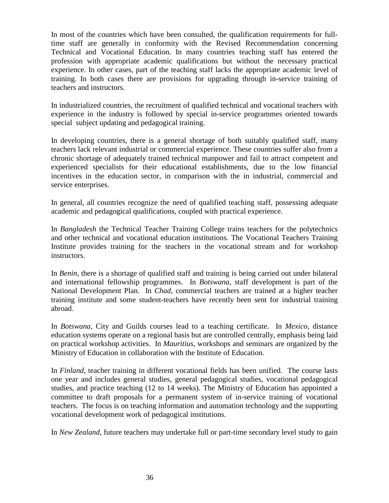In most of the countries which have been consulted, the qualification requirements for fulltime staff are generally in conformity with the Revised Recommendation concerning Technical and Vocational Education. In many countries teaching staff has entered the profession with appropriate academic qualifications but without the necessary practical experience. In other cases, part of the teaching staff lacks the appropriate academic level of training. In both cases there are provisions for upgrading through in-service training of teachers and instructors.

In industrialized countries, the recruitment of qualified technical and vocational teachers with experience in the industry is followed by special in-service programmes oriented towards special subject updating and pedagogical training.

In developing countries, there is a general shortage of both suitably qualified staff, many teachers lack relevant industrial or commercial experience. These countries suffer also from a chronic shortage of adequately trained technical manpower and fail to attract competent and experienced specialists for their educational establishments, due to the low financial incentives in the education sector, in comparison with the in industrial, commercial and service enterprises.

In general, all countries recognize the need of qualified teaching staff, possessing adequate academic and pedagogical qualifications, coupled with practical experience.

In *Bangladesh* the Technical Teacher Training College trains teachers for the polytechnics and other technical and vocational education institutions. The Vocational Teachers Training Institute provides training for the teachers in the vocational stream and for workshop instructors.

In *Benin*, there is a shortage of qualified staff and training is being carried out under bilateral and international fellowship programmes. In *Botswana*, staff development is part of the National Development Plan. In *Chad*, commercial teachers are trained at a higher teacher training institute and some student-teachers have recently been sent for industrial training abroad.

In *Botswana*, City and Guilds courses lead to a teaching certificate. In *Mexico*, distance education systems operate on a regional basis but are controlled centrally, emphasis being laid on practical workshop activities. In *Mauritius*, workshops and seminars are organized by the Ministry of Education in collaboration with the Institute of Education.

In *Finland*, teacher training in different vocational fields has been unified. The course lasts one year and includes general studies, general pedagogical studies, vocational pedagogical studies, and practice teaching (12 to 14 weeks). The Ministry of Education has appointed a committee to draft proposals for a permanent system of in-service training of vocational teachers. The focus is on teaching information and automation technology and the supporting vocational development work of pedagogical institutions.

In *New Zealand*, future teachers may undertake full or part-time secondary level study to gain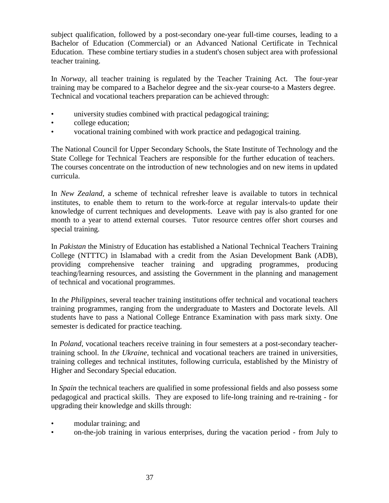subject qualification, followed by a post-secondary one-year full-time courses, leading to a Bachelor of Education (Commercial) or an Advanced National Certificate in Technical Education. These combine tertiary studies in a student's chosen subject area with professional teacher training.

In *Norway*, all teacher training is regulated by the Teacher Training Act. The four-year training may be compared to a Bachelor degree and the six-year course-to a Masters degree. Technical and vocational teachers preparation can be achieved through:

- university studies combined with practical pedagogical training;
- college education;
- vocational training combined with work practice and pedagogical training.

The National Council for Upper Secondary Schools, the State Institute of Technology and the State College for Technical Teachers are responsible for the further education of teachers. The courses concentrate on the introduction of new technologies and on new items in updated curricula.

In *New Zealand*, a scheme of technical refresher leave is available to tutors in technical institutes, to enable them to return to the work-force at regular intervals-to update their knowledge of current techniques and developments. Leave with pay is also granted for one month to a year to attend external courses. Tutor resource centres offer short courses and special training.

In *Pakistan* the Ministry of Education has established a National Technical Teachers Training College (NTTTC) in Islamabad with a credit from the Asian Development Bank (ADB), providing comprehensive teacher training and upgrading programmes, producing teaching/learning resources, and assisting the Government in the planning and management of technical and vocational programmes.

In *the Philippines*, several teacher training institutions offer technical and vocational teachers training programmes, ranging from the undergraduate to Masters and Doctorate levels. All students have to pass a National College Entrance Examination with pass mark sixty. One semester is dedicated for practice teaching.

In *Poland*, vocational teachers receive training in four semesters at a post-secondary teachertraining school. In *the Ukraine*, technical and vocational teachers are trained in universities, training colleges and technical institutes, following curricula, established by the Ministry of Higher and Secondary Special education.

In *Spain* the technical teachers are qualified in some professional fields and also possess some pedagogical and practical skills. They are exposed to life-long training and re-training - for upgrading their knowledge and skills through:

- modular training; and
- on-the-job training in various enterprises, during the vacation period from July to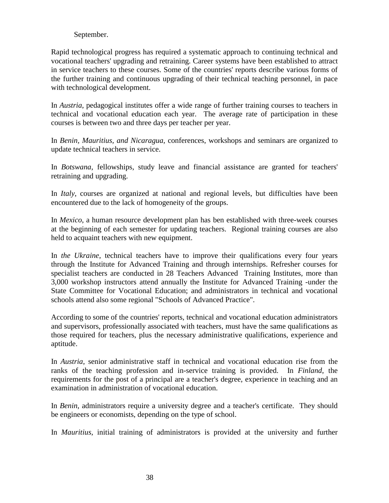### September.

Rapid technological progress has required a systematic approach to continuing technical and vocational teachers' upgrading and retraining. Career systems have been established to attract in service teachers to these courses. Some of the countries' reports describe various forms of the further training and continuous upgrading of their technical teaching personnel, in pace with technological development.

In *Austria*, pedagogical institutes offer a wide range of further training courses to teachers in technical and vocational education each year. The average rate of participation in these courses is between two and three days per teacher per year.

In *Benin, Mauritius, and Nicaragua*, conferences, workshops and seminars are organized to update technical teachers in service.

In *Botswana*, fellowships, study leave and financial assistance are granted for teachers' retraining and upgrading.

In *Italy*, courses are organized at national and regional levels, but difficulties have been encountered due to the lack of homogeneity of the groups.

In *Mexico*, a human resource development plan has ben established with three-week courses at the beginning of each semester for updating teachers. Regional training courses are also held to acquaint teachers with new equipment.

In *the Ukraine*, technical teachers have to improve their qualifications every four years through the Institute for Advanced Training and through internships. Refresher courses for specialist teachers are conducted in 28 Teachers Advanced Training Institutes, more than 3,000 workshop instructors attend annually the Institute for Advanced Training -under the State Committee for Vocational Education; and administrators in technical and vocational schools attend also some regional "Schools of Advanced Practice".

According to some of the countries' reports, technical and vocational education administrators and supervisors, professionally associated with teachers, must have the same qualifications as those required for teachers, plus the necessary administrative qualifications, experience and aptitude.

In *Austria*, senior administrative staff in technical and vocational education rise from the ranks of the teaching profession and in-service training is provided. In *Finland*, the requirements for the post of a principal are a teacher's degree, experience in teaching and an examination in administration of vocational education.

In *Benin*, administrators require a university degree and a teacher's certificate. They should be engineers or economists, depending on the type of school.

In *Mauritius*, initial training of administrators is provided at the university and further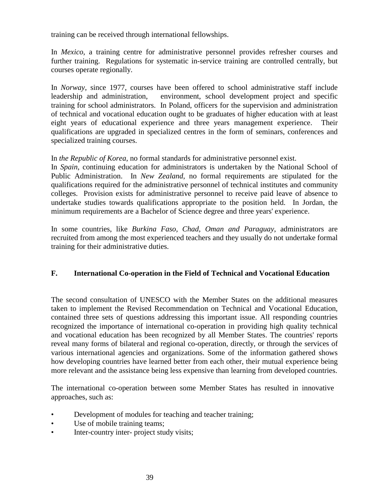training can be received through international fellowships.

In *Mexico*, a training centre for administrative personnel provides refresher courses and further training. Regulations for systematic in-service training are controlled centrally, but courses operate regionally.

In *Norway*, since 1977, courses have been offered to school administrative staff include leadership and administration, environment, school development project and specific training for school administrators. In Poland, officers for the supervision and administration of technical and vocational education ought to be graduates of higher education with at least eight years of educational experience and three years management experience. Their qualifications are upgraded in specialized centres in the form of seminars, conferences and specialized training courses.

In *the Republic of Korea*, no formal standards for administrative personnel exist.

In *Spain*, continuing education for administrators is undertaken by the National School of Public Administration. In *New Zealand*, no formal requirements are stipulated for the qualifications required for the administrative personnel of technical institutes and community colleges. Provision exists for administrative personnel to receive paid leave of absence to undertake studies towards qualifications appropriate to the position held. In Jordan, the minimum requirements are a Bachelor of Science degree and three years' experience.

In some countries, like *Burkina Faso, Chad, Oman and Paraguay*, administrators are recruited from among the most experienced teachers and they usually do not undertake formal training for their administrative duties.

### **F. International Co-operation in the Field of Technical and Vocational Education**

The second consultation of UNESCO with the Member States on the additional measures taken to implement the Revised Recommendation on Technical and Vocational Education, contained three sets of questions addressing this important issue. All responding countries recognized the importance of international co-operation in providing high quality technical and vocational education has been recognized by all Member States. The countries' reports reveal many forms of bilateral and regional co-operation, directly, or through the services of various international agencies and organizations. Some of the information gathered shows how developing countries have learned better from each other, their mutual experience being more relevant and the assistance being less expensive than learning from developed countries.

The international co-operation between some Member States has resulted in innovative approaches, such as:

- Development of modules for teaching and teacher training;
- Use of mobile training teams;
- Inter-country inter- project study visits;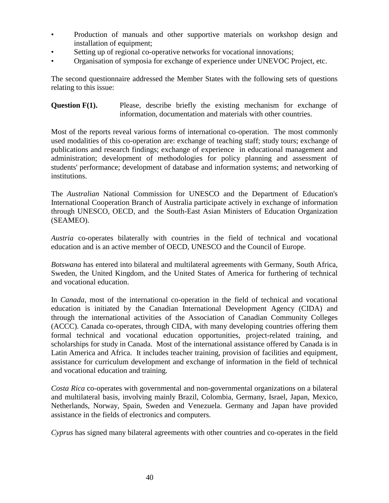- Production of manuals and other supportive materials on workshop design and installation of equipment;
- Setting up of regional co-operative networks for vocational innovations;
- Organisation of symposia for exchange of experience under UNEVOC Project, etc.

The second questionnaire addressed the Member States with the following sets of questions relating to this issue:

**Question F(1).** Please, describe briefly the existing mechanism for exchange of information, documentation and materials with other countries.

Most of the reports reveal various forms of international co-operation. The most commonly used modalities of this co-operation are: exchange of teaching staff; study tours; exchange of publications and research findings; exchange of experience in educational management and administration; development of methodologies for policy planning and assessment of students' performance; development of database and information systems; and networking of institutions.

The *Australian* National Commission for UNESCO and the Department of Education's International Cooperation Branch of Australia participate actively in exchange of information through UNESCO, OECD, and the South-East Asian Ministers of Education Organization (SEAMEO).

*Austria* co-operates bilaterally with countries in the field of technical and vocational education and is an active member of OECD, UNESCO and the Council of Europe.

*Botswana* has entered into bilateral and multilateral agreements with Germany, South Africa, Sweden, the United Kingdom, and the United States of America for furthering of technical and vocational education.

In *Canada*, most of the international co-operation in the field of technical and vocational education is initiated by the Canadian International Development Agency (CIDA) and through the international activities of the Association of Canadian Community Colleges (ACCC). Canada co-operates, through CIDA, with many developing countries offering them formal technical and vocational education opportunities, project-related training, and scholarships for study in Canada. Most of the international assistance offered by Canada is in Latin America and Africa. It includes teacher training, provision of facilities and equipment, assistance for curriculum development and exchange of information in the field of technical and vocational education and training.

*Costa Rica* co-operates with governmental and non-governmental organizations on a bilateral and multilateral basis, involving mainly Brazil, Colombia, Germany, Israel, Japan, Mexico, Netherlands, Norway, Spain, Sweden and Venezuela. Germany and Japan have provided assistance in the fields of electronics and computers.

*Cyprus* has signed many bilateral agreements with other countries and co-operates in the field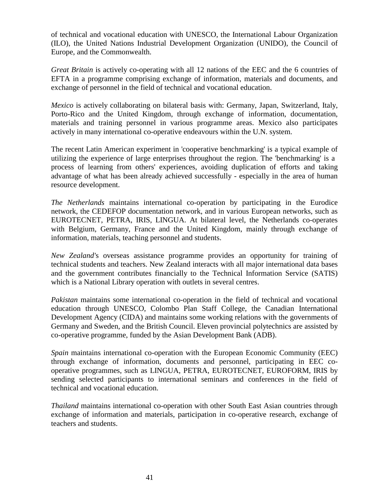of technical and vocational education with UNESCO, the International Labour Organization (ILO), the United Nations Industrial Development Organization (UNIDO), the Council of Europe, and the Commonwealth.

*Great Britain* is actively co-operating with all 12 nations of the EEC and the 6 countries of EFTA in a programme comprising exchange of information, materials and documents, and exchange of personnel in the field of technical and vocational education.

*Mexico* is actively collaborating on bilateral basis with: Germany, Japan, Switzerland, Italy, Porto-Rico and the United Kingdom, through exchange of information, documentation, materials and training personnel in various programme areas. Mexico also participates actively in many international co-operative endeavours within the U.N. system.

The recent Latin American experiment in 'cooperative benchmarking' is a typical example of utilizing the experience of large enterprises throughout the region. The 'benchmarking' is a process of learning from others' experiences, avoiding duplication of efforts and taking advantage of what has been already achieved successfully - especially in the area of human resource development.

*The Netherlands* maintains international co-operation by participating in the Eurodice network, the CEDEFOP documentation network, and in various European networks, such as EUROTECNET, PETRA, IRIS, LINGUA. At bilateral level, the Netherlands co-operates with Belgium, Germany, France and the United Kingdom, mainly through exchange of information, materials, teaching personnel and students.

*New Zealand'*s overseas assistance programme provides an opportunity for training of technical students and teachers. New Zealand interacts with all major international data bases and the government contributes financially to the Technical Information Service (SATIS) which is a National Library operation with outlets in several centres.

*Pakistan* maintains some international co-operation in the field of technical and vocational education through UNESCO, Colombo Plan Staff College, the Canadian International Development Agency (CIDA) and maintains some working relations with the governments of Germany and Sweden, and the British Council. Eleven provincial polytechnics are assisted by co-operative programme, funded by the Asian Development Bank (ADB).

*Spain* maintains international co-operation with the European Economic Community (EEC) through exchange of information, documents and personnel, participating in EEC cooperative programmes, such as LINGUA, PETRA, EUROTECNET, EUROFORM, IRIS by sending selected participants to international seminars and conferences in the field of technical and vocational education.

*Thailand* maintains international co-operation with other South East Asian countries through exchange of information and materials, participation in co-operative research, exchange of teachers and students.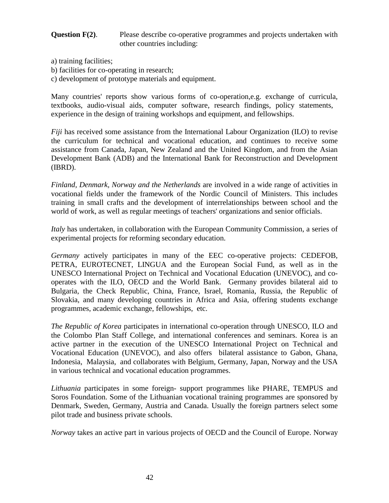### **Question F(2).** Please describe co-operative programmes and projects undertaken with other countries including:

- a) training facilities;
- b) facilities for co-operating in research;
- c) development of prototype materials and equipment.

Many countries' reports show various forms of co-operation,e.g. exchange of curricula, textbooks, audio-visual aids, computer software, research findings, policy statements, experience in the design of training workshops and equipment, and fellowships.

*Fiji* has received some assistance from the International Labour Organization (ILO) to revise the curriculum for technical and vocational education, and continues to receive some assistance from Canada, Japan, New Zealand and the United Kingdom, and from the Asian Development Bank (ADB) and the International Bank for Reconstruction and Development (IBRD).

*Finland, Denmark, Norway and the Netherlands* are involved in a wide range of activities in vocational fields under the framework of the Nordic Council of Ministers. This includes training in small crafts and the development of interrelationships between school and the world of work, as well as regular meetings of teachers' organizations and senior officials.

*Italy* has undertaken, in collaboration with the European Community Commission, a series of experimental projects for reforming secondary education.

*Germany* actively participates in many of the EEC co-operative projects: CEDEFOB, PETRA, EUROTECNET, LINGUA and the European Social Fund, as well as in the UNESCO International Project on Technical and Vocational Education (UNEVOC), and cooperates with the ILO, OECD and the World Bank. Germany provides bilateral aid to Bulgaria, the Check Republic, China, France, Israel, Romania, Russia, the Republic of Slovakia, and many developing countries in Africa and Asia, offering students exchange programmes, academic exchange, fellowships, etc.

*The Republic of Korea* participates in international co-operation through UNESCO, ILO and the Colombo Plan Staff College, and international conferences and seminars. Korea is an active partner in the execution of the UNESCO International Project on Technical and Vocational Education (UNEVOC), and also offers bilateral assistance to Gabon, Ghana, Indonesia, Malaysia, and collaborates with Belgium, Germany, Japan, Norway and the USA in various technical and vocational education programmes.

*Lithuania* participates in some foreign- support programmes like PHARE, TEMPUS and Soros Foundation. Some of the Lithuanian vocational training programmes are sponsored by Denmark, Sweden, Germany, Austria and Canada. Usually the foreign partners select some pilot trade and business private schools.

*Norway* takes an active part in various projects of OECD and the Council of Europe. Norway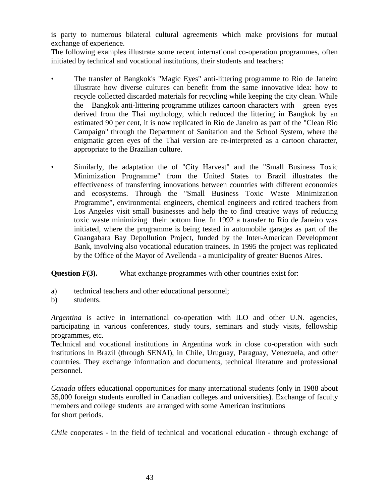is party to numerous bilateral cultural agreements which make provisions for mutual exchange of experience.

The following examples illustrate some recent international co-operation programmes, often initiated by technical and vocational institutions, their students and teachers:

- The transfer of Bangkok's "Magic Eyes" anti-littering programme to Rio de Janeiro illustrate how diverse cultures can benefit from the same innovative idea: how to recycle collected discarded materials for recycling while keeping the city clean. While the Bangkok anti-littering programme utilizes cartoon characters with green eyes derived from the Thai mythology, which reduced the littering in Bangkok by an estimated 90 per cent, it is now replicated in Rio de Janeiro as part of the "Clean Rio Campaign" through the Department of Sanitation and the School System, where the enigmatic green eyes of the Thai version are re-interpreted as a cartoon character, appropriate to the Brazilian culture.
- Similarly, the adaptation the of "City Harvest" and the "Small Business Toxic Minimization Programme" from the United States to Brazil illustrates the effectiveness of transferring innovations between countries with different economies and ecosystems. Through the "Small Business Toxic Waste Minimization Programme", environmental engineers, chemical engineers and retired teachers from Los Angeles visit small businesses and help the to find creative ways of reducing toxic waste minimizing their bottom line. In 1992 a transfer to Rio de Janeiro was initiated, where the programme is being tested in automobile garages as part of the Guangabara Bay Depollution Project, funded by the Inter-American Development Bank, involving also vocational education trainees. In 1995 the project was replicated by the Office of the Mayor of Avellenda - a municipality of greater Buenos Aires.

**Question F(3).** What exchange programmes with other countries exist for:

- a) technical teachers and other educational personnel;
- b) students.

*Argentina* is active in international co-operation with ILO and other U.N. agencies, participating in various conferences, study tours, seminars and study visits, fellowship programmes, etc.

Technical and vocational institutions in Argentina work in close co-operation with such institutions in Brazil (through SENAI), in Chile, Uruguay, Paraguay, Venezuela, and other countries. They exchange information and documents, technical literature and professional personnel.

*Canada* offers educational opportunities for many international students (only in 1988 about 35,000 foreign students enrolled in Canadian colleges and universities). Exchange of faculty members and college students are arranged with some American institutions for short periods.

*Chile* cooperates - in the field of technical and vocational education - through exchange of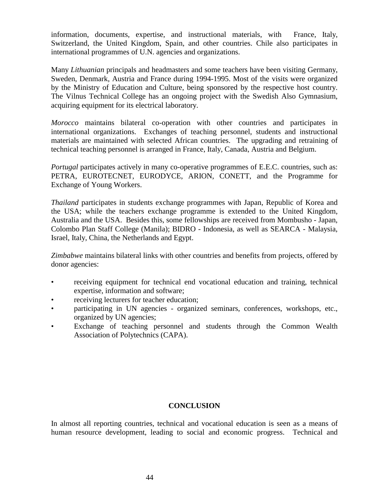information, documents, expertise, and instructional materials, with France, Italy, Switzerland, the United Kingdom, Spain, and other countries. Chile also participates in international programmes of U.N. agencies and organizations.

Many *Lithuanian* principals and headmasters and some teachers have been visiting Germany, Sweden, Denmark, Austria and France during 1994-1995. Most of the visits were organized by the Ministry of Education and Culture, being sponsored by the respective host country. The Vilnus Technical College has an ongoing project with the Swedish Also Gymnasium, acquiring equipment for its electrical laboratory.

*Morocco* maintains bilateral co-operation with other countries and participates in international organizations. Exchanges of teaching personnel, students and instructional materials are maintained with selected African countries. The upgrading and retraining of technical teaching personnel is arranged in France, Italy, Canada, Austria and Belgium.

*Portugal* participates actively in many co-operative programmes of E.E.C. countries, such as: PETRA, EUROTECNET, EURODYCE, ARION, CONETT, and the Programme for Exchange of Young Workers.

*Thailand* participates in students exchange programmes with Japan, Republic of Korea and the USA; while the teachers exchange programme is extended to the United Kingdom, Australia and the USA. Besides this, some fellowships are received from Mombusho - Japan, Colombo Plan Staff College (Manila); BIDRO - Indonesia, as well as SEARCA - Malaysia, Israel, Italy, China, the Netherlands and Egypt.

*Zimbabwe* maintains bilateral links with other countries and benefits from projects, offered by donor agencies:

- receiving equipment for technical end vocational education and training, technical expertise, information and software;
- receiving lecturers for teacher education;
- participating in UN agencies organized seminars, conferences, workshops, etc., organized by UN agencies;
- Exchange of teaching personnel and students through the Common Wealth Association of Polytechnics (CAPA).

### **CONCLUSION**

In almost all reporting countries, technical and vocational education is seen as a means of human resource development, leading to social and economic progress. Technical and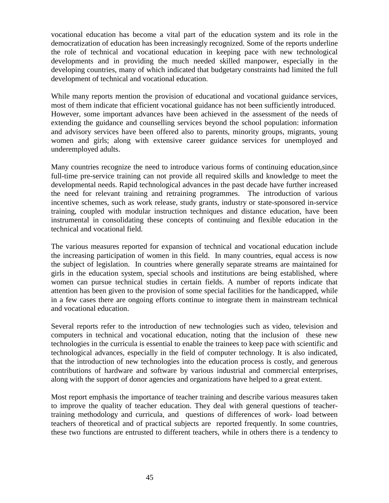vocational education has become a vital part of the education system and its role in the democratization of education has been increasingly recognized. Some of the reports underline the role of technical and vocational education in keeping pace with new technological developments and in providing the much needed skilled manpower, especially in the developing countries, many of which indicated that budgetary constraints had limited the full development of technical and vocational education.

While many reports mention the provision of educational and vocational guidance services, most of them indicate that efficient vocational guidance has not been sufficiently introduced. However, some important advances have been achieved in the assessment of the needs of extending the guidance and counselling services beyond the school population: information and advisory services have been offered also to parents, minority groups, migrants, young women and girls; along with extensive career guidance services for unemployed and underemployed adults.

Many countries recognize the need to introduce various forms of continuing education,since full-time pre-service training can not provide all required skills and knowledge to meet the developmental needs. Rapid technological advances in the past decade have further increased the need for relevant training and retraining programmes. The introduction of various incentive schemes, such as work release, study grants, industry or state-sponsored in-service training, coupled with modular instruction techniques and distance education, have been instrumental in consolidating these concepts of continuing and flexible education in the technical and vocational field.

The various measures reported for expansion of technical and vocational education include the increasing participation of women in this field. In many countries, equal access is now the subject of legislation. In countries where generally separate streams are maintained for girls in the education system, special schools and institutions are being established, where women can pursue technical studies in certain fields. A number of reports indicate that attention has been given to the provision of some special facilities for the handicapped, while in a few cases there are ongoing efforts continue to integrate them in mainstream technical and vocational education.

Several reports refer to the introduction of new technologies such as video, television and computers in technical and vocational education, noting that the inclusion of these new technologies in the curricula is essential to enable the trainees to keep pace with scientific and technological advances, especially in the field of computer technology. It is also indicated, that the introduction of new technologies into the education process is costly, and generous contributions of hardware and software by various industrial and commercial enterprises, along with the support of donor agencies and organizations have helped to a great extent.

Most report emphasis the importance of teacher training and describe various measures taken to improve the quality of teacher education. They deal with general questions of teachertraining methodology and curricula, and questions of differences of work- load between teachers of theoretical and of practical subjects are reported frequently. In some countries, these two functions are entrusted to different teachers, while in others there is a tendency to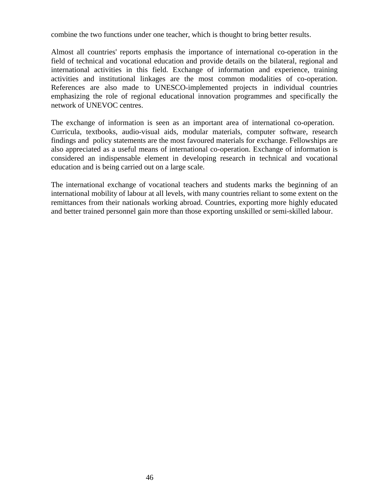combine the two functions under one teacher, which is thought to bring better results.

Almost all countries' reports emphasis the importance of international co-operation in the field of technical and vocational education and provide details on the bilateral, regional and international activities in this field. Exchange of information and experience, training activities and institutional linkages are the most common modalities of co-operation. References are also made to UNESCO-implemented projects in individual countries emphasizing the role of regional educational innovation programmes and specifically the network of UNEVOC centres.

The exchange of information is seen as an important area of international co-operation. Curricula, textbooks, audio-visual aids, modular materials, computer software, research findings and policy statements are the most favoured materials for exchange. Fellowships are also appreciated as a useful means of international co-operation. Exchange of information is considered an indispensable element in developing research in technical and vocational education and is being carried out on a large scale.

The international exchange of vocational teachers and students marks the beginning of an international mobility of labour at all levels, with many countries reliant to some extent on the remittances from their nationals working abroad. Countries, exporting more highly educated and better trained personnel gain more than those exporting unskilled or semi-skilled labour.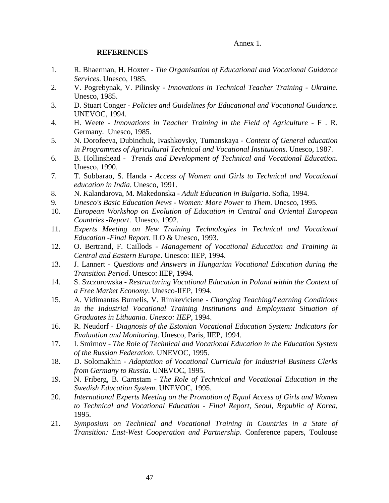Annex 1.

### **REFERENCES**

- 1. R. Bhaerman, H. Hoxter *The Organisation of Educational and Vocational Guidance Services*. Unesco, 1985.
- 2. V. Pogrebynak, V. Pilinsky *Innovations in Technical Teacher Training Ukraine*. Unesco, 1985.
- 3. D. Stuart Conger *Policies and Guidelines for Educational and Vocational Guidance*. UNEVOC, 1994.
- 4. H. Weete *Innovations in Teacher Training in the Field of Agriculture* F . R. Germany. Unesco, 1985.
- 5. N. Dorofeeva, Dubinchuk, Ivashkovsky, Tumanskaya *Content of General education in Programmes of Agricultural Technical and Vocational Institutions*. Unesco, 1987.
- 6. B. Hollinshead *Trends and Development of Technical and Vocational Education*. Unesco, 1990.
- 7. T. Subbarao, S. Handa *Access of Women and Girls to Technical and Vocational education in India*. Unesco, 1991.
- 8. N. Kalandarova, M. Makedonska *Adult Education in Bulgaria*. Sofia, 1994.
- 9. *Unesco's Basic Education News Women: More Power to Them*. Unesco, 1995.
- 10. *European Workshop on Evolution of Education in Central and Oriental European Countries -Report*. Unesco, 1992.
- 11. *Experts Meeting on New Training Technologies in Technical and Vocational Education -Final Report*. ILO & Unesco, 1993.
- 12. O. Bertrand, F. Caillods *Management of Vocational Education and Training in Central and Eastern Europe*. Unesco: IIEP, 1994.
- 13. J. Lannert *Questions and Answers in Hungarian Vocational Education during the Transition Period*. Unesco: IIEP, 1994.
- 14. S. Szczurowska *Restructuring Vocational Education in Poland within the Context of a Free Market Economy*. Unesco-IIEP, 1994.
- 15. A. Vidimantas Bumelis, V. Rimkeviciene *Changing Teaching/Learning Conditions in the Industrial Vocational Training Institutions and Employment Situation of Graduates in Lithuania. Unesco: IIEP*, 1994.
- 16. R. Neudorf *Diagnosis of the Estonian Vocational Education System: Indicators for Evaluation and Monitoring*. Unesco, Paris, IIEP, 1994.
- 17. I. Smirnov *The Role of Technical and Vocational Education in the Education System of the Russian Federation*. UNEVOC, 1995.
- 18. D. Solomakhin *Adaptation of Vocational Curricula for Industrial Business Clerks from Germany to Russia*. UNEVOC, 1995.
- 19. N. Friberg, B. Carnstam *The Role of Technical and Vocational Education in the Swedish Education System*. UNEVOC, 1995.
- 20. *International Experts Meeting on the Promotion of Equal Access of Girls and Women to Technical and Vocational Education - Final Report, Seoul, Republic of Korea*, 1995.
- 21. *Symposium on Technical and Vocational Training in Countries in a State of Transition: East-West Cooperation and Partnership*. Conference papers, Toulouse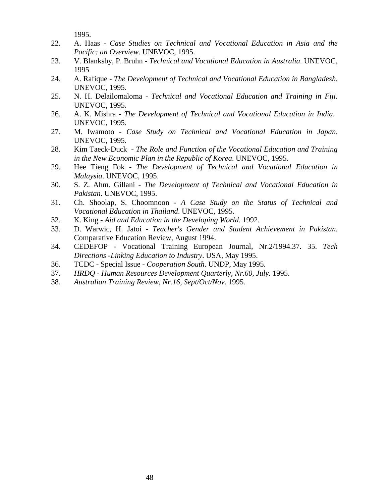1995.

- 22. A. Haas *Case Studies on Technical and Vocational Education in Asia and the Pacific: an Overview*. UNEVOC, 1995.
- 23. V. Blanksby, P. Bruhn *Technical and Vocational Education in Australia*. UNEVOC, 1995
- 24. A. Rafique *The Development of Technical and Vocational Education in Bangladesh*. UNEVOC, 1995.
- 25. N. H. Delailomaloma *Technical and Vocational Education and Training in Fiji*. UNEVOC, 1995.
- 26. A. K. Mishra *The Development of Technical and Vocational Education in India*. UNEVOC, 1995.
- 27. M. Iwamoto *Case Study on Technical and Vocational Education in Japan*. UNEVOC, 1995.
- 28. Kim Taeck-Duck *The Role and Function of the Vocational Education and Training in the New Economic Plan in the Republic of Korea*. UNEVOC, 1995.
- 29. Hee Tieng Fok *The Development of Technical and Vocational Education in Malaysia*. UNEVOC, 1995.
- 30. S. Z. Ahm. Gillani *The Development of Technical and Vocational Education in Pakistan*. UNEVOC, 1995.
- 31. Ch. Shoolap, S. Choomnoon *A Case Study on the Status of Technical and Vocational Education in Thailand*. UNEVOC, 1995.
- 32. K. King *Aid and Education in the Developing World*. 1992.
- 33. D. Warwic, H. Jatoi *Teacher's Gender and Student Achievement in Pakistan*. Comparative Education Review, August 1994.
- 34. CEDEFOP Vocational Training European Journal, Nr.2/1994.37. 35. *Tech Directions -Linking Education to Industry*. USA, May 1995.
- 36. TCDC Special Issue *Cooperation South*. UNDP, May 1995.
- 37. *HRDQ Human Resources Development Quarterly, Nr.60, July*. 1995.
- 38. *Australian Training Review, Nr.16, Sept/Oct/Nov*. 1995.